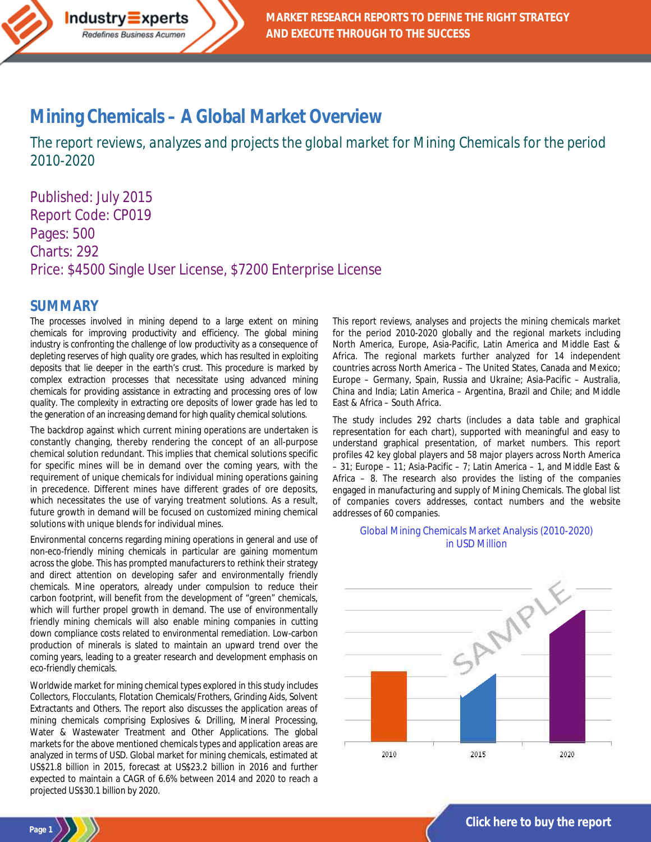

# **Mining Chemicals – [A Global Market Overview](http://industry-experts.com/verticals/chemicals-and-materials/mining-chemicals-a-global-market-overview)**

*The report reviews, analyzes and projects the global market for Mining Chemicals for the period 2010-2020*

Published: July 2015 Report Code: CP019 Pages: 500 Charts: 292 Price: \$4500 Single User License, \$7200 Enterprise License

### **SUMMARY**

**Page 1**

The processes involved in mining depend to a large extent on mining chemicals for improving productivity and efficiency. The global mining industry is confronting the challenge of low productivity as a consequence of depleting reserves of high quality ore grades, which has resulted in exploiting deposits that lie deeper in the earth's crust. This procedure is marked by complex extraction processes that necessitate using advanced mining chemicals for providing assistance in extracting and processing ores of low quality. The complexity in extracting ore deposits of lower grade has led to the generation of an increasing demand for high quality chemical solutions.

The backdrop against which current mining operations are undertaken is constantly changing, thereby rendering the concept of an all-purpose chemical solution redundant. This implies that chemical solutions specific for specific mines will be in demand over the coming years, with the requirement of unique chemicals for individual mining operations gaining in precedence. Different mines have different grades of ore deposits, which necessitates the use of varying treatment solutions. As a result, future growth in demand will be focused on customized mining chemical solutions with unique blends for individual mines.

Environmental concerns regarding mining operations in general and use of non-eco-friendly mining chemicals in particular are gaining momentum across the globe. This has prompted manufacturers to rethink their strategy and direct attention on developing safer and environmentally friendly chemicals. Mine operators, already under compulsion to reduce their carbon footprint, will benefit from the development of "green" chemicals, which will further propel growth in demand. The use of environmentally friendly mining chemicals will also enable mining companies in cutting down compliance costs related to environmental remediation. Low-carbon production of minerals is slated to maintain an upward trend over the coming years, leading to a greater research and development emphasis on eco-friendly chemicals.

Worldwide market for mining chemical types explored in this study includes Collectors, Flocculants, Flotation Chemicals/Frothers, Grinding Aids, Solvent Extractants and Others. The report also discusses the application areas of mining chemicals comprising Explosives & Drilling, Mineral Processing, Water & Wastewater Treatment and Other Applications. The global markets for the above mentioned chemicals types and application areas are analyzed in terms of USD. Global market for mining chemicals, estimated at US\$21.8 billion in 2015, forecast at US\$23.2 billion in 2016 and further expected to maintain a CAGR of 6.6% between 2014 and 2020 to reach a projected US\$30.1 billion by 2020.

This report reviews, analyses and projects the mining chemicals market for the period 2010-2020 globally and the regional markets including North America, Europe, Asia-Pacific, Latin America and Middle East & Africa. The regional markets further analyzed for 14 independent countries across North America – The United States, Canada and Mexico; Europe – Germany, Spain, Russia and Ukraine; Asia-Pacific – Australia, China and India; Latin America – Argentina, Brazil and Chile; and Middle East & Africa – South Africa.

The study includes 292 charts (includes a data table and graphical representation for each chart), supported with meaningful and easy to understand graphical presentation, of market numbers. This report profiles 42 key global players and 58 major players across North America – 31; Europe – 11; Asia-Pacific – 7; Latin America – 1, and Middle East & Africa – 8. The research also provides the listing of the companies engaged in manufacturing and supply of Mining Chemicals. The global list of companies covers addresses, contact numbers and the website addresses of 60 companies.

### Global Mining Chemicals Market Analysis (2010-2020) in USD Million

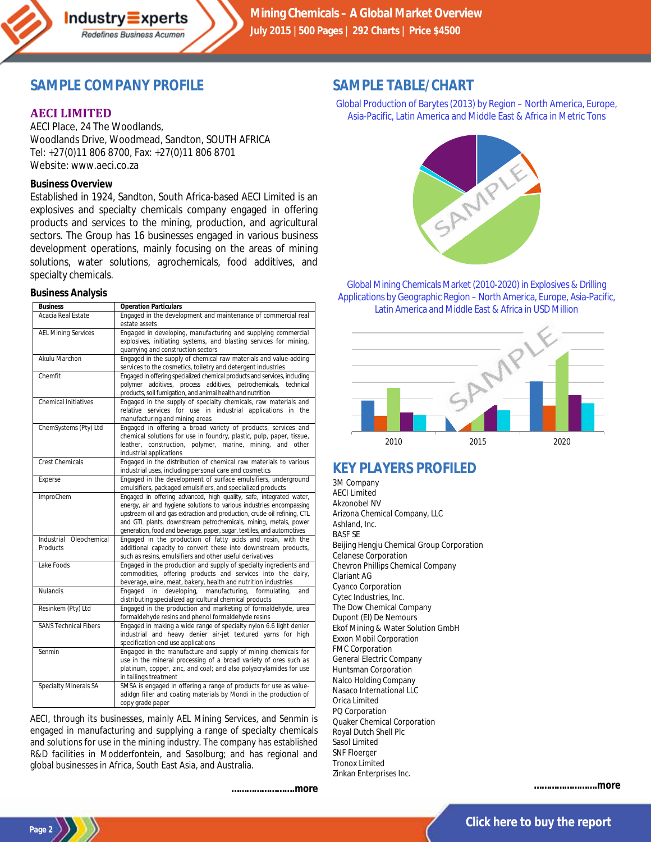

# **SAMPLE COMPANY PROFILE**

Redefines Business Acumen

### **AECI LIMITED**

AECI Place, 24 The Woodlands, Woodlands Drive, Woodmead, Sandton, SOUTH AFRICA Tel: +27(0)11 806 8700, Fax: +27(0)11 806 8701 Website: www.aeci.co.za

### **Business Overview**

Established in 1924, Sandton, South Africa-based AECI Limited is an explosives and specialty chemicals company engaged in offering products and services to the mining, production, and agricultural sectors. The Group has 16 businesses engaged in various business development operations, mainly focusing on the areas of mining solutions, water solutions, agrochemicals, food additives, and specialty chemicals.

#### **Business Analysis**

| <b>Business</b>                     | <b>Operation Particulars</b>                                                                                                                                                                                                                                                                                                                                         |
|-------------------------------------|----------------------------------------------------------------------------------------------------------------------------------------------------------------------------------------------------------------------------------------------------------------------------------------------------------------------------------------------------------------------|
| Acacia Real Estate                  | Engaged in the development and maintenance of commercial real<br>estate assets                                                                                                                                                                                                                                                                                       |
| <b>AEL Mining Services</b>          | Engaged in developing, manufacturing and supplying commercial<br>explosives, initiating systems, and blasting services for mining,<br>quarrying and construction sectors                                                                                                                                                                                             |
| Akulu Marchon                       | Engaged in the supply of chemical raw materials and value-adding<br>services to the cosmetics, toiletry and detergent industries                                                                                                                                                                                                                                     |
| Chemfit                             | Engaged in offering specialized chemical products and services, including<br>polymer additives, process additives, petrochemicals, technical<br>products, soil fumigation, and animal health and nutrition                                                                                                                                                           |
| <b>Chemical Initiatives</b>         | Engaged in the supply of specialty chemicals, raw materials and<br>relative services for use in industrial applications in the<br>manufacturing and mining areas                                                                                                                                                                                                     |
| ChemSystems (Pty) Ltd               | Engaged in offering a broad variety of products, services and<br>chemical solutions for use in foundry, plastic, pulp, paper, tissue,<br>leather, construction, polymer, marine, mining, and other<br>industrial applications                                                                                                                                        |
| <b>Crest Chemicals</b>              | Engaged in the distribution of chemical raw materials to various<br>industrial uses, including personal care and cosmetics                                                                                                                                                                                                                                           |
| Experse                             | Engaged in the development of surface emulsifiers, underground<br>emulsifiers, packaged emulsifiers, and specialized products                                                                                                                                                                                                                                        |
| <b>ImproChem</b>                    | Engaged in offering advanced, high quality, safe, integrated water,<br>energy, air and hygiene solutions to various industries encompassing<br>upstream oil and gas extraction and production, crude oil refining, CTL<br>and GTL plants, downstream petrochemicals, mining, metals, power<br>generation, food and beverage, paper, sugar, textiles, and automotives |
| Industrial Oleochemical<br>Products | Engaged in the production of fatty acids and rosin, with the<br>additional capacity to convert these into downstream products,<br>such as resins, emulsifiers and other useful derivatives                                                                                                                                                                           |
| Lake Foods                          | Engaged in the production and supply of specialty ingredients and<br>commodities, offering products and services into the dairy,<br>beverage, wine, meat, bakery, health and nutrition industries                                                                                                                                                                    |
| <b>Nulandis</b>                     | Engaged in developing, manufacturing, formulating,<br>and<br>distributing specialized agricultural chemical products                                                                                                                                                                                                                                                 |
| Resinkem (Pty) Ltd                  | Engaged in the production and marketing of formaldehyde, urea<br>formaldehyde resins and phenol formaldehyde resins                                                                                                                                                                                                                                                  |
| <b>SANS Technical Fibers</b>        | Engaged in making a wide range of specialty nylon 6.6 light denier<br>industrial and heavy denier air-jet textured yarns for high<br>specification end use applications                                                                                                                                                                                              |
| Senmin                              | Engaged in the manufacture and supply of mining chemicals for<br>use in the mineral processing of a broad variety of ores such as<br>platinum, copper, zinc, and coal; and also polyacrylamides for use<br>in tailings treatment                                                                                                                                     |
| Specialty Minerals SA               | SMSA is engaged in offering a range of products for use as value-<br>adidgn filler and coating materials by Mondi in the production of<br>copy grade paper                                                                                                                                                                                                           |

AECI, through its businesses, mainly AEL Mining Services, and Senmin is engaged in manufacturing and supplying a range of specialty chemicals and solutions for use in the mining industry. The company has established R&D facilities in Modderfontein, and Sasolburg; and has regional and global businesses in Africa, South East Asia, and Australia.

*…………………….more*

# **SAMPLE TABLE/CHART**

Global Production of Barytes (2013) by Region – North America, Europe, Asia-Pacific, Latin America and Middle East & Africa in Metric Tons



Global Mining Chemicals Market (2010-2020) in Explosives & Drilling Applications by Geographic Region – North America, Europe, Asia-Pacific, Latin America and Middle East & Africa in USD Million



# **KEY PLAYERS PROFILED**

3M Company AECI Limited Akzonobel NV Arizona Chemical Company, LLC Ashland, Inc. BASF SE Beijing Hengju Chemical Group Corporation Celanese Corporation Chevron Phillips Chemical Company Clariant AG Cyanco Corporation Cytec Industries, Inc. The Dow Chemical Company Dupont (EI) De Nemours Ekof Mining & Water Solution GmbH Exxon Mobil Corporation FMC Corporation General Electric Company Huntsman Corporation Nalco Holding Company Nasaco International LLC Orica Limited PQ Corporation Quaker Chemical Corporation Royal Dutch Shell Plc Sasol Limited SNF Floerger Tronox Limited Zinkan Enterprises Inc.

*…………………….more*

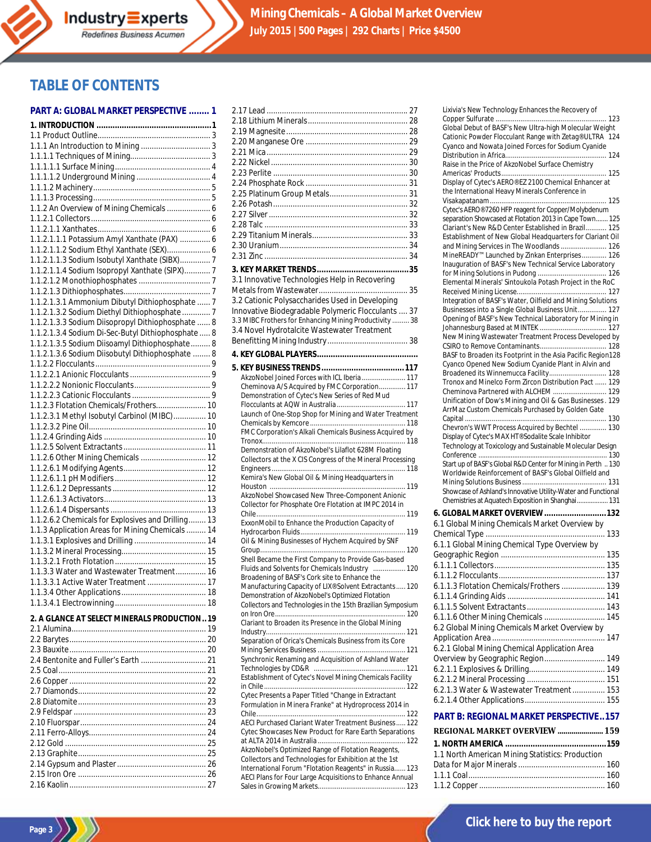# **TABLE OF CONTENTS**

#### **PART A: GLOBAL MARKET PERSPECTIVE ........ 1**

| 1.1.2 An Overview of Mining Chemicals  6           |  |
|----------------------------------------------------|--|
|                                                    |  |
| 1.1.2.1.1.1 Potassium Amyl Xanthate (PAX)  6       |  |
| 1.1.2.1.1.2 Sodium Ethyl Xanthate (SEX) 6          |  |
| 1.1.2.1.1.3 Sodium Isobutyl Xanthate (SIBX) 7      |  |
| 1.1.2.1.1.4 Sodium Isopropyl Xanthate (SIPX) 7     |  |
|                                                    |  |
|                                                    |  |
| 1.1.2.1.3.1 Ammonium Dibutyl Dithiophosphate  7    |  |
| 1.1.2.1.3.2 Sodium Diethyl Dithiophosphate  7      |  |
| 1.1.2.1.3.3 Sodium Diisopropyl Dithiophosphate  8  |  |
| 1.1.2.1.3.4 Sodium Di-Sec-Butyl Dithiophosphate  8 |  |
| 1.1.2.1.3.5 Sodium Diisoamyl Dithiophosphate 8     |  |
| 1.1.2.1.3.6 Sodium Diisobutyl Dithiophosphate  8   |  |
|                                                    |  |
|                                                    |  |
|                                                    |  |
|                                                    |  |
| 1.1.2.3 Flotation Chemicals/Frothers 10            |  |
| 1.1.2.3.1 Methyl Isobutyl Carbinol (MIBC) 10       |  |
|                                                    |  |
|                                                    |  |
|                                                    |  |
| 1.1.2.6 Other Mining Chemicals  12                 |  |
|                                                    |  |
|                                                    |  |
|                                                    |  |
|                                                    |  |
|                                                    |  |
| 1.1.2.6.2 Chemicals for Explosives and Drilling 13 |  |
| 1.1.3 Application Areas for Mining Chemicals  14   |  |
|                                                    |  |
|                                                    |  |
| 1.1.3.3 Water and Wastewater Treatment 16          |  |
| 1.1.3.3.1 Active Water Treatment  17               |  |
|                                                    |  |
|                                                    |  |
|                                                    |  |
| 2. A GLANCE AT SELECT MINERALS PRODUCTION 19       |  |
|                                                    |  |
|                                                    |  |
|                                                    |  |
|                                                    |  |
|                                                    |  |
|                                                    |  |
|                                                    |  |
|                                                    |  |
|                                                    |  |

2.10 Fluorspar.......................................................... 24 2.11 Ferro-Alloys...................................................... 24 2.12 Gold ................................................................. 25 2.13 Graphite........................................................... 25 2.14 Gypsum and Plaster......................................... 26 2.15 Iron Ore ........................................................... 26 2.16 Kaolin............................................................... 27

| 3.1 Innovative Technologies Help in Recovering                                                                    |  |
|-------------------------------------------------------------------------------------------------------------------|--|
|                                                                                                                   |  |
| 3.2 Cationic Polysaccharides Used in Developing                                                                   |  |
| Innovative Biodegradable Polymeric Flocculants  37                                                                |  |
| 3.3 MIBC Frothers for Enhancing Mining Productivity  38<br>3.4 Novel Hydrotalcite Wastewater Treatment            |  |
|                                                                                                                   |  |
|                                                                                                                   |  |
|                                                                                                                   |  |
|                                                                                                                   |  |
| AkzoNobel Joined Forces with ICL Iberia 117                                                                       |  |
| Cheminova A/S Acquired by FMC Corporation 117                                                                     |  |
| Demonstration of Cytec's New Series of Red Mud                                                                    |  |
| Launch of One-Stop Shop for Mining and Water Treatment                                                            |  |
|                                                                                                                   |  |
| FMC Corporation's Alkali Chemicals Business Acquired by                                                           |  |
|                                                                                                                   |  |
| Demonstration of AkzoNobel's Lilaflot 628M Floating<br>Collectors at the X CIS Congress of the Mineral Processing |  |
|                                                                                                                   |  |
| Kemira's New Global Oil & Mining Headquarters in                                                                  |  |
|                                                                                                                   |  |
| AkzoNobel Showcased New Three-Component Anionic                                                                   |  |
| Collector for Phosphate Ore Flotation at IMPC 2014 in                                                             |  |
| ExxonMobil to Enhance the Production Capacity of                                                                  |  |
|                                                                                                                   |  |
| Oil & Mining Businesses of Hychem Acquired by SNF                                                                 |  |
|                                                                                                                   |  |
| Shell Became the First Company to Provide Gas-based<br>Fluids and Solvents for Chemicals Industry  120            |  |
| Broadening of BASF's Cork site to Enhance the                                                                     |  |
| Manufacturing Capacity of LIX® Solvent Extractants 120                                                            |  |
| Demonstration of AkzoNobel's Optimized Flotation                                                                  |  |
| Collectors and Technologies in the 15th Brazilian Symposium                                                       |  |
| Clariant to Broaden its Presence in the Global Mining                                                             |  |
|                                                                                                                   |  |
| Separation of Orica's Chemicals Business from its Core                                                            |  |
|                                                                                                                   |  |
| Synchronic Renaming and Acquisition of Ashland Water                                                              |  |
| Establishment of Cytec's Novel Mining Chemicals Facility                                                          |  |
|                                                                                                                   |  |
| Cytec Presents a Paper Titled "Change in Extractant                                                               |  |
| Formulation in Minera Franke" at Hydroprocess 2014 in                                                             |  |
|                                                                                                                   |  |
| AECI Purchased Clariant Water Treatment Business  122<br>Cytec Showcases New Product for Rare Earth Separations   |  |
|                                                                                                                   |  |
| AkzoNobel's Optimized Range of Flotation Reagents,                                                                |  |
| Collectors and Technologies for Exhibition at the 1st                                                             |  |
| International Forum "Flotation Reagents" in Russia 123                                                            |  |
| AECI Plans for Four Large Acquisitions to Enhance Annual                                                          |  |
|                                                                                                                   |  |

| Global Debut of BASF's New Ultra-high Molecular Weight                                                         |  |
|----------------------------------------------------------------------------------------------------------------|--|
| Cationic Powder Flocculant Range with Zetag® ULTRA 124                                                         |  |
| Cyanco and Nowata Joined Forces for Sodium Cyanide                                                             |  |
| Raise in the Price of AkzoNobel Surface Chemistry                                                              |  |
|                                                                                                                |  |
| Display of Cytec's AERO® EZ 2100 Chemical Enhancer at                                                          |  |
| the International Heavy Minerals Conference in                                                                 |  |
|                                                                                                                |  |
| Cytec's AERO® 7260 HFP reagent for Copper/Molybdenum                                                           |  |
| separation Showcased at Flotation 2013 in Cape Town 125<br>Clariant's New R&D Center Established in Brazil 125 |  |
| Establishment of New Global Headquarters for Clariant Oil                                                      |  |
| and Mining Services in The Woodlands 126                                                                       |  |
| MineREADY™ Launched by Zinkan Enterprises 126                                                                  |  |
| Inauguration of BASF's New Technical Service Laboratory                                                        |  |
|                                                                                                                |  |
| Elemental Minerals' Sintoukola Potash Project in the RoC                                                       |  |
|                                                                                                                |  |
| Integration of BASF's Water, Oilfield and Mining Solutions                                                     |  |
| Businesses into a Single Global Business Unit 127<br>Opening of BASF's New Technical Laboratory for Mining in  |  |
|                                                                                                                |  |
| New Mining Wastewater Treatment Process Developed by                                                           |  |
|                                                                                                                |  |
| BASF to Broaden its Footprint in the Asia Pacific Region128                                                    |  |
| Cyanco Opened New Sodium Cyanide Plant in Alvin and                                                            |  |
| Broadened its Winnemucca Facility 128                                                                          |  |
| Tronox and Minelco Form Zircon Distribution Pact  129                                                          |  |
| Cheminova Partnered with ALCHEM  129<br>Unification of Dow's Mining and Oil & Gas Businesses. 129              |  |
| ArrMaz Custom Chemicals Purchased by Golden Gate                                                               |  |
|                                                                                                                |  |
| Chevron's WWT Process Acquired by Bechtel  130                                                                 |  |
| Display of Cytec's MAX HT® Sodalite Scale Inhibitor                                                            |  |
| Technology at Toxicology and Sustainable Molecular Design                                                      |  |
|                                                                                                                |  |
|                                                                                                                |  |
| Start up of BASF's Global R&D Center for Mining in Perth  130                                                  |  |
| Worldwide Reinforcement of BASF's Global Oilfield and                                                          |  |
|                                                                                                                |  |
| Showcase of Ashland's Innovative Utility-Water and Functional                                                  |  |
| Chemistries at Aquatech Exposition in Shanghai 131                                                             |  |
| 6. GLOBAL MARKET OVERVIEW132                                                                                   |  |
| 6.1 Global Mining Chemicals Market Overview by                                                                 |  |
|                                                                                                                |  |
| 6.1.1 Global Mining Chemical Type Overview by                                                                  |  |
|                                                                                                                |  |
|                                                                                                                |  |
|                                                                                                                |  |
| 6.1.1.3 Flotation Chemicals/Frothers  139                                                                      |  |
|                                                                                                                |  |
|                                                                                                                |  |
| 6.1.1.6 Other Mining Chemicals  145                                                                            |  |
| 6.2 Global Mining Chemicals Market Overview by                                                                 |  |
|                                                                                                                |  |
| 6.2.1 Global Mining Chemical Application Area                                                                  |  |
| Overview by Geographic Region 149                                                                              |  |
|                                                                                                                |  |
|                                                                                                                |  |
| 6.2.1.3 Water & Wastewater Treatment  153                                                                      |  |
|                                                                                                                |  |
|                                                                                                                |  |
| <b>PART B: REGIONAL MARKET PERSPECTIVE157</b>                                                                  |  |
| REGIONAL MARKET OVERVIEW  159                                                                                  |  |
|                                                                                                                |  |
| 1.1 North American Mining Statistics: Production                                                               |  |
|                                                                                                                |  |

1.1.2 Copper.......................................................... 160

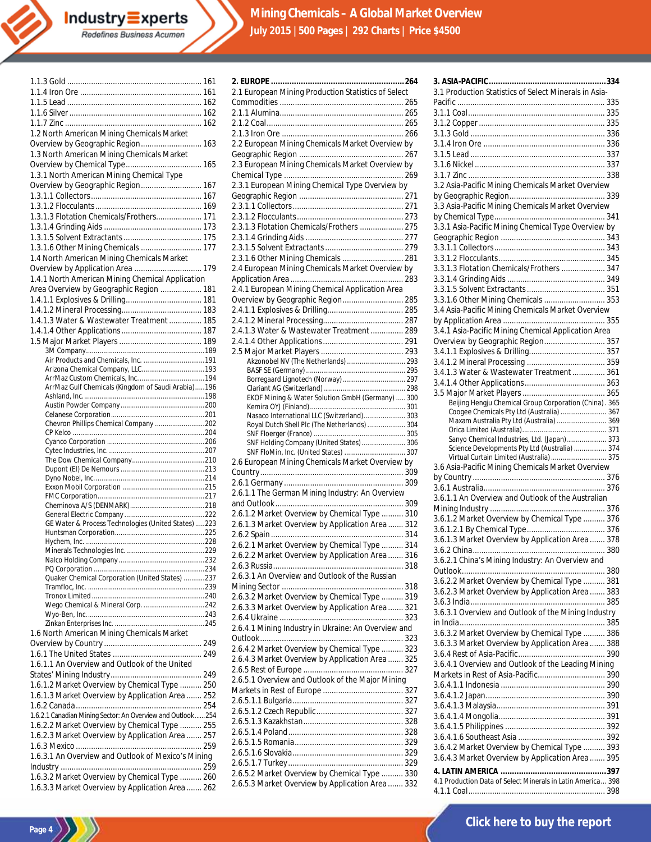| 1.2 North American Mining Chemicals Market                                                        |  |
|---------------------------------------------------------------------------------------------------|--|
| Overview by Geographic Region 163                                                                 |  |
|                                                                                                   |  |
| 1.3 North American Mining Chemicals Market                                                        |  |
|                                                                                                   |  |
|                                                                                                   |  |
| 1.3.1 North American Mining Chemical Type                                                         |  |
| Overview by Geographic Region 167                                                                 |  |
|                                                                                                   |  |
|                                                                                                   |  |
|                                                                                                   |  |
| 1.3.1.3 Flotation Chemicals/Frothers 171                                                          |  |
|                                                                                                   |  |
|                                                                                                   |  |
|                                                                                                   |  |
| 1.3.1.6 Other Mining Chemicals  177                                                               |  |
|                                                                                                   |  |
| 1.4 North American Mining Chemicals Market                                                        |  |
| Overview by Application Area  179                                                                 |  |
|                                                                                                   |  |
| 1.4.1 North American Mining Chemical Application                                                  |  |
| Area Overview by Geographic Region  181                                                           |  |
|                                                                                                   |  |
|                                                                                                   |  |
|                                                                                                   |  |
| 1.4.1.3 Water & Wastewater Treatment  185                                                         |  |
|                                                                                                   |  |
|                                                                                                   |  |
|                                                                                                   |  |
|                                                                                                   |  |
|                                                                                                   |  |
|                                                                                                   |  |
|                                                                                                   |  |
|                                                                                                   |  |
| ArrMaz Gulf Chemicals (Kingdom of Saudi Arabia)196                                                |  |
|                                                                                                   |  |
|                                                                                                   |  |
|                                                                                                   |  |
|                                                                                                   |  |
|                                                                                                   |  |
|                                                                                                   |  |
| Chevron Phillips Chemical Company 202                                                             |  |
|                                                                                                   |  |
|                                                                                                   |  |
|                                                                                                   |  |
|                                                                                                   |  |
|                                                                                                   |  |
|                                                                                                   |  |
|                                                                                                   |  |
|                                                                                                   |  |
|                                                                                                   |  |
|                                                                                                   |  |
|                                                                                                   |  |
|                                                                                                   |  |
| GE Water & Process Technologies (United States) 223                                               |  |
|                                                                                                   |  |
|                                                                                                   |  |
|                                                                                                   |  |
|                                                                                                   |  |
|                                                                                                   |  |
|                                                                                                   |  |
| Quaker Chemical Corporation (United States) 237                                                   |  |
|                                                                                                   |  |
|                                                                                                   |  |
|                                                                                                   |  |
|                                                                                                   |  |
|                                                                                                   |  |
|                                                                                                   |  |
|                                                                                                   |  |
| 1.6 North American Mining Chemicals Market                                                        |  |
|                                                                                                   |  |
|                                                                                                   |  |
|                                                                                                   |  |
| 1.6.1.1 An Overview and Outlook of the United                                                     |  |
|                                                                                                   |  |
|                                                                                                   |  |
| 1.6.1.2 Market Overview by Chemical Type  250                                                     |  |
| 1.6.1.3 Market Overview by Application Area  252                                                  |  |
|                                                                                                   |  |
|                                                                                                   |  |
| 1.6.2.1 Canadian Mining Sector: An Overview and Outlook 254                                       |  |
| 1.6.2.2 Market Overview by Chemical Type  255                                                     |  |
|                                                                                                   |  |
| 1.6.2.3 Market Overview by Application Area  257                                                  |  |
|                                                                                                   |  |
| 1.6.3.1 An Overview and Outlook of Mexico's Mining                                                |  |
|                                                                                                   |  |
|                                                                                                   |  |
| 1.6.3.2 Market Overview by Chemical Type  260<br>1.6.3.3 Market Overview by Application Area  262 |  |

Page 4  $\left\langle \frac{1}{2} \right\rangle$ 

| 2.1 European Mining Production Statistics of Select                                               |
|---------------------------------------------------------------------------------------------------|
|                                                                                                   |
|                                                                                                   |
|                                                                                                   |
|                                                                                                   |
| 2.2 European Mining Chemicals Market Overview by                                                  |
|                                                                                                   |
| 2.3 European Mining Chemicals Market Overview by                                                  |
|                                                                                                   |
| 2.3.1 European Mining Chemical Type Overview by                                                   |
|                                                                                                   |
|                                                                                                   |
|                                                                                                   |
| 2.3.1.3 Flotation Chemicals/Frothers  275                                                         |
|                                                                                                   |
|                                                                                                   |
| 2.3.1.6 Other Mining Chemicals  281                                                               |
| 2.4 European Mining Chemicals Market Overview by                                                  |
|                                                                                                   |
| 2.4.1 European Mining Chemical Application Area                                                   |
| Overview by Geographic Region 285                                                                 |
|                                                                                                   |
|                                                                                                   |
| 2.4.1.3 Water & Wastewater Treatment  289                                                         |
|                                                                                                   |
|                                                                                                   |
| Akzonobel NV (The Netherlands) 293                                                                |
|                                                                                                   |
| Borregaard Lignotech (Norway) 297                                                                 |
| EKOF Mining & Water Solution GmbH (Germany)  300                                                  |
|                                                                                                   |
| Nasaco International LLC (Switzerland) 303                                                        |
| Royal Dutch Shell Plc (The Netherlands)  304                                                      |
|                                                                                                   |
|                                                                                                   |
| SNF Holding Company (United States)  306                                                          |
| SNF FloMin, Inc. (United States)  307                                                             |
| 2.6 European Mining Chemicals Market Overview by                                                  |
|                                                                                                   |
|                                                                                                   |
| 2.6.1.1 The German Mining Industry: An Overview                                                   |
|                                                                                                   |
| 2.6.1.2 Market Overview by Chemical Type  310                                                     |
| 2.6.1.3 Market Overview by Application Area  312                                                  |
|                                                                                                   |
| 2.6.2.1 Market Overview by Chemical Type  314                                                     |
| 2.6.2.2 Market Overview by Application Area  316                                                  |
|                                                                                                   |
| 2.6.3.1 An Overview and Outlook of the Russian                                                    |
|                                                                                                   |
| 2.6.3.2 Market Overview by Chemical Type  319                                                     |
| 2.6.3.3 Market Overview by Application Area  321                                                  |
|                                                                                                   |
| 2.6.4.1 Mining Industry in Ukraine: An Overview and                                               |
|                                                                                                   |
| 2.6.4.2 Market Overview by Chemical Type  323                                                     |
| 2.6.4.3 Market Overview by Application Area  325                                                  |
|                                                                                                   |
| 2.6.5.1 Overview and Outlook of the Major Mining                                                  |
|                                                                                                   |
|                                                                                                   |
|                                                                                                   |
|                                                                                                   |
|                                                                                                   |
|                                                                                                   |
|                                                                                                   |
|                                                                                                   |
| 2.6.5.2 Market Overview by Chemical Type  330<br>2.6.5.3 Market Overview by Application Area  332 |

| 3.1 Production Statistics of Select Minerals in Asia-                                     |  |
|-------------------------------------------------------------------------------------------|--|
|                                                                                           |  |
|                                                                                           |  |
|                                                                                           |  |
|                                                                                           |  |
|                                                                                           |  |
|                                                                                           |  |
|                                                                                           |  |
| 3.2 Asia-Pacific Mining Chemicals Market Overview                                         |  |
|                                                                                           |  |
| 3.3 Asia-Pacific Mining Chemicals Market Overview                                         |  |
|                                                                                           |  |
| 3.3.1 Asia-Pacific Mining Chemical Type Overview by                                       |  |
|                                                                                           |  |
|                                                                                           |  |
|                                                                                           |  |
| 3.3.1.3 Flotation Chemicals/Frothers  347                                                 |  |
|                                                                                           |  |
|                                                                                           |  |
| 3.3.1.6 Other Mining Chemicals  353                                                       |  |
| 3.4 Asia-Pacific Mining Chemicals Market Overview                                         |  |
|                                                                                           |  |
| 3.4.1 Asia-Pacific Mining Chemical Application Area                                       |  |
| Overview by Geographic Region 357                                                         |  |
|                                                                                           |  |
|                                                                                           |  |
| 3.4.1.3 Water & Wastewater Treatment  361                                                 |  |
|                                                                                           |  |
| Beijing Hengju Chemical Group Corporation (China). 365                                    |  |
| Coogee Chemicals Pty Ltd (Australia)  367                                                 |  |
| Maxam Australia Pty Ltd (Australia)  369                                                  |  |
|                                                                                           |  |
| Sanyo Chemical Industries, Ltd. (Japan) 373                                               |  |
| Science Developments Pty Ltd (Australia)  374<br>Virtual Curtain Limited (Australia)  375 |  |
| 3.6 Asia-Pacific Mining Chemicals Market Overview                                         |  |
|                                                                                           |  |
|                                                                                           |  |
| 3.6.1.1 An Overview and Outlook of the Australian                                         |  |
|                                                                                           |  |
| 3.6.1.2 Market Overview by Chemical Type  376                                             |  |
|                                                                                           |  |
| 3.6.1.3 Market Overview by Application Area  378                                          |  |
| 3.6.2 China<br>380                                                                        |  |
| 3.6.2.1 China's Mining Industry: An Overview and                                          |  |
|                                                                                           |  |
| 3.6.2.2 Market Overview by Chemical Type  381                                             |  |
| 3.6.2.3 Market Overview by Application Area  383                                          |  |
| 3.6.3.1 Overview and Outlook of the Mining Industry                                       |  |
|                                                                                           |  |
| 3.6.3.2 Market Overview by Chemical Type  386                                             |  |
| 3.6.3.3 Market Overview by Application Area  388                                          |  |
|                                                                                           |  |
| 3.6.4.1 Overview and Outlook of the Leading Mining                                        |  |
|                                                                                           |  |
|                                                                                           |  |
|                                                                                           |  |
|                                                                                           |  |
|                                                                                           |  |
|                                                                                           |  |
|                                                                                           |  |
| 3.6.4.2 Market Overview by Chemical Type  393                                             |  |
| 3.6.4.3 Market Overview by Application Area  395                                          |  |
| 1. Draduation Data of Coloot Minerale in Latin America 200                                |  |

4.1 Production Data of Select Minerals in Latin America... 398 4.1.1 Coal............................................................... 398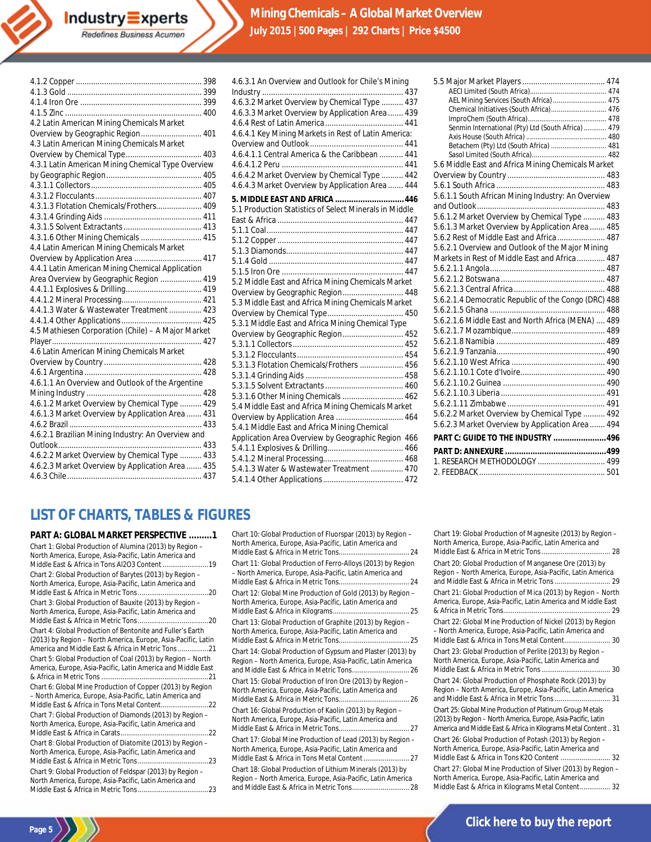

| 4.2 Latin American Mining Chemicals Market         |  |
|----------------------------------------------------|--|
| Overview by Geographic Region 401                  |  |
| 4.3 Latin American Mining Chemicals Market         |  |
|                                                    |  |
| 4.3.1 Latin American Mining Chemical Type Overview |  |
|                                                    |  |
|                                                    |  |
|                                                    |  |
| 4.3.1.3 Flotation Chemicals/Frothers 409           |  |
|                                                    |  |
|                                                    |  |
| 4.3.1.6 Other Mining Chemicals  415                |  |
| 4.4 Latin American Mining Chemicals Market         |  |
| Overview by Application Area  417                  |  |
| 4.4.1 Latin American Mining Chemical Application   |  |
| Area Overview by Geographic Region  419            |  |
|                                                    |  |
|                                                    |  |
| 4.4.1.3 Water & Wastewater Treatment  423          |  |
|                                                    |  |
| 4.5 Mathiesen Corporation (Chile) - A Major Market |  |
|                                                    |  |
| 4.6 Latin American Mining Chemicals Market         |  |
|                                                    |  |
|                                                    |  |
| 4.6.1.1 An Overview and Outlook of the Argentine   |  |
|                                                    |  |
| 4.6.1.2 Market Overview by Chemical Type  429      |  |
| 4.6.1.3 Market Overview by Application Area  431   |  |
|                                                    |  |
| 4.6.2.1 Brazilian Mining Industry: An Overview and |  |
|                                                    |  |
| 4.6.2.2 Market Overview by Chemical Type  433      |  |
| 4.6.2.3 Market Overview by Application Area  435   |  |
|                                                    |  |
|                                                    |  |

| 4.6.3.1 An Overview and Outlook for Chile's Mining     |  |
|--------------------------------------------------------|--|
|                                                        |  |
| 4.6.3.2 Market Overview by Chemical Type  437          |  |
| 4.6.3.3 Market Overview by Application Area  439       |  |
|                                                        |  |
| 4.6.4.1 Key Mining Markets in Rest of Latin America:   |  |
|                                                        |  |
| 4.6.4.1.1 Central America & the Caribbean  441         |  |
|                                                        |  |
| 4.6.4.2 Market Overview by Chemical Type  442          |  |
| 4.6.4.3 Market Overview by Application Area  444       |  |
| 5. MIDDLE EAST AND AFRICA  446                         |  |
| 5.1 Production Statistics of Select Minerals in Middle |  |
|                                                        |  |
|                                                        |  |
|                                                        |  |
|                                                        |  |
|                                                        |  |
|                                                        |  |
| 5.2 Middle East and Africa Mining Chemicals Market     |  |
| Overview by Geographic Region 448                      |  |
| 5.3 Middle East and Africa Mining Chemicals Market     |  |
|                                                        |  |
| 5.3.1 Middle East and Africa Mining Chemical Type      |  |
| Overview by Geographic Region 452                      |  |
|                                                        |  |
|                                                        |  |
| 5.3.1.3 Flotation Chemicals/Frothers  456              |  |
|                                                        |  |
|                                                        |  |
| 5.3.1.6 Other Mining Chemicals  462                    |  |
| 5.4 Middle East and Africa Mining Chemicals Market     |  |
| Overview by Application Area  464                      |  |
| 5.4.1 Middle East and Africa Mining Chemical           |  |
| Application Area Overview by Geographic Region 466     |  |
|                                                        |  |
|                                                        |  |
| 5.4.1.3 Water & Wastewater Treatment  470              |  |
|                                                        |  |
|                                                        |  |

| AEL Mining Services (South Africa) 475               |  |
|------------------------------------------------------|--|
| Chemical Initiatives (South Africa) 476              |  |
|                                                      |  |
| Senmin International (Pty) Ltd (South Africa)  479   |  |
| Betachem (Pty) Ltd (South Africa)  481               |  |
|                                                      |  |
| 5.6 Middle East and Africa Mining Chemicals Market   |  |
|                                                      |  |
|                                                      |  |
| 5.6.1.1 South African Mining Industry: An Overview   |  |
|                                                      |  |
| 5.6.1.2 Market Overview by Chemical Type  483        |  |
| 5.6.1.3 Market Overview by Application Area  485     |  |
| 5.6.2 Rest of Middle East and Africa  487            |  |
| 5.6.2.1 Overview and Outlook of the Major Mining     |  |
| Markets in Rest of Middle East and Africa 487        |  |
|                                                      |  |
|                                                      |  |
|                                                      |  |
| 5.6.2.1.4 Democratic Republic of the Congo (DRC) 488 |  |
|                                                      |  |
| 5.6.2.1.6 Middle East and North Africa (MENA)  489   |  |
|                                                      |  |
|                                                      |  |
|                                                      |  |
|                                                      |  |
|                                                      |  |
|                                                      |  |
|                                                      |  |
|                                                      |  |
| 5.6.2.2 Market Overview by Chemical Type  492        |  |
| 5.6.2.3 Market Overview by Application Area  494     |  |
| <b>PART C: GUIDE TO THE INDUSTRY 496</b>             |  |
|                                                      |  |
| 1. RESEARCH METHODOLOGY  499                         |  |
|                                                      |  |
|                                                      |  |

# **LIST OF CHARTS, TABLES & FIGURES**

**PART A: GLOBAL MARKET PERSPECTIVE .........1** Chart 1: Global Production of Alumina (2013) by Region – North America, Europe, Asia-Pacific, Latin America and Middle East & Africa in Tons Al2O3 Content ........................19 Chart 2: Global Production of Barytes (2013) by Region – North America, Europe, Asia-Pacific, Latin America and Middle East & Africa in Metric Tons.....................................20 Chart 3: Global Production of Bauxite (2013) by Region – North America, Europe, Asia-Pacific, Latin America and Middle East & Africa in Metric Tons.....................................20 Chart 4: Global Production of Bentonite and Fuller's Earth (2013) by Region – North America, Europe, Asia-Pacific, Latin America and Middle East & Africa in Metric Tons................21 Chart 5: Global Production of Coal (2013) by Region – North America, Europe, Asia-Pacific, Latin America and Middle East & Africa in Metric Tons ........................................................21 Chart 6: Global Mine Production of Copper (2013) by Region – North America, Europe, Asia-Pacific, Latin America and Middle East & Africa in Tons Metal Content.........................22 Chart 7: Global Production of Diamonds (2013) by Region – North America, Europe, Asia-Pacific, Latin America and Middle East & Africa in Carats..............................................22 Chart 8: Global Production of Diatomite (2013) by Region – North America, Europe, Asia-Pacific, Latin America and Middle East & Africa in Metric Tons.....................................23 Chart 9: Global Production of Feldspar (2013) by Region – North America, Europe, Asia-Pacific, Latin America and Middle East & Africa in Metric Tons.....................................23

**Page 5**

Chart 10: Global Production of Fluorspar (2013) by Region – North America, Europe, Asia-Pacific, Latin America and Middle East & Africa in Metric Tons..................................... 24 Chart 11: Global Production of Ferro-Alloys (2013) by Region – North America, Europe, Asia-Pacific, Latin America and Middle East & Africa in Metric Tons..................................... 24 Chart 12: Global Mine Production of Gold (2013) by Region – North America, Europe, Asia-Pacific, Latin America and Middle East & Africa in Kilograms........................................ 25 Chart 13: Global Production of Graphite (2013) by Region – North America, Europe, Asia-Pacific, Latin America and Middle East & Africa in Metric Tons..................................... 25 Chart 14: Global Production of Gypsum and Plaster (2013) by Region – North America, Europe, Asia-Pacific, Latin America and Middle East & Africa in Metric Tons.............................. 26 Chart 15: Global Production of Iron Ore (2013) by Region – North America, Europe, Asia-Pacific, Latin America and Middle East & Africa in Metric Tons........................ Chart 16: Global Production of Kaolin (2013) by Region –

North America, Europe, Asia-Pacific, Latin America and Middle East & Africa in Metric Tons..................................... 27 Chart 17: Global Mine Production of Lead (2013) by Region – North America, Europe, Asia-Pacific, Latin America and Middle East & Africa in Tons Metal Content........................ 27 Chart 18: Global Production of Lithium Minerals (2013) by Region – North America, Europe, Asia-Pacific, Latin America and Middle East & Africa in Metric Tons.............................. 28

Chart 19: Global Production of Magnesite (2013) by Region – North America, Europe, Asia-Pacific, Latin America and Middle East & Africa in Metric Tons.................................... 28 Chart 20: Global Production of Manganese Ore (2013) by Region – North America, Europe, Asia-Pacific, Latin America and Middle East & Africa in Metric Tons ............................. 29 Chart 21: Global Production of Mica (2013) by Region – North America, Europe, Asia-Pacific, Latin America and Middle East & Africa in Metric Tons........................................................ 29 Chart 22: Global Mine Production of Nickel (2013) by Region – North America, Europe, Asia-Pacific, Latin America and Middle East & Africa in Tons Metal Content........................ 30 Chart 23: Global Production of Perlite (2013) by Region – North America, Europe, Asia-Pacific, Latin America and Middle East & Africa in Metric Tons.................................... 30 Chart 24: Global Production of Phosphate Rock (2013) by Region – North America, Europe, Asia-Pacific, Latin America and Middle East & Africa in Metric Tons ............................. 31 Chart 25: Global Mine Production of Platinum Group Metals (2013) by Region – North America, Europe, Asia-Pacific, Latin America and Middle East & Africa in Kilograms Metal Content.. 31 Chart 26: Global Production of Potash (2013) by Region – North America, Europe, Asia-Pacific, Latin America and Middle East & Africa in Tons K2O Content .......................... 32 Chart 27: Global Mine Production of Silver (2013) by Region – North America, Europe, Asia-Pacific, Latin America and Middle East & Africa in Kilograms Metal Content................ 32

## **[Click here to buy the report](http://industry-experts.com/verticals/chemicals-and-materials/mining-chemicals-a-global-market-overview)**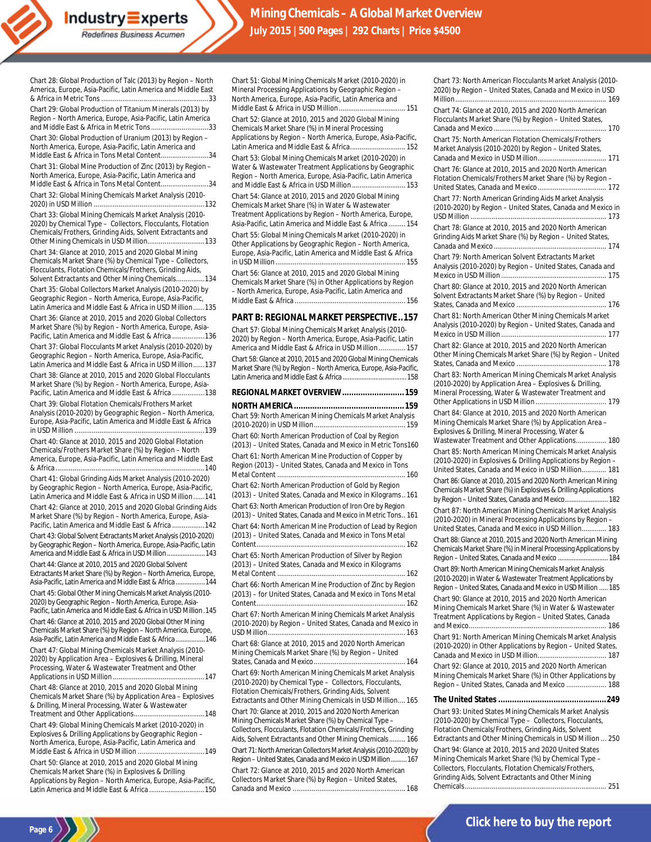Chart 28: Global Production of Talc (2013) by Region – North America, Europe, Asia-Pacific, Latin America and Middle East & Africa in Metric Tons ........................................................33

**Industry Experts** Redefines Business Acumen

Chart 29: Global Production of Titanium Minerals (2013) by Region – North America, Europe, Asia-Pacific, Latin America and Middle East & Africa in Metric Tons..............................33 Chart 30: Global Production of Uranium (2013) by Region –

North America, Europe, Asia-Pacific, Latin America and Middle East & Africa in Tons Metal Content.........................34 Chart 31: Global Mine Production of Zinc (2013) by Region –

North America, Europe, Asia-Pacific, Latin America and Middle East & Africa in Tons Metal Content.........................34

Chart 32: Global Mining Chemicals Market Analysis (2010- 2020) in USD Million ..........................................................132

Chart 33: Global Mining Chemicals Market Analysis (2010- 2020) by Chemical Type – Collectors, Flocculants, Flotation Chemicals/Frothers, Grinding Aids, Solvent Extractants and Other Mining Chemicals in USD Million..............................133 Chart 34: Glance at 2010, 2015 and 2020 Global Mining Chemicals Market Share (%) by Chemical Type – Collectors, Flocculants, Flotation Chemicals/Frothers, Grinding Aids, Solvent Extractants and Other Mining Chemicals...............134 Chart 35: Global Collectors Market Analysis (2010-2020) by Geographic Region – North America, Europe, Asia-Pacific, Latin America and Middle East & Africa in USD Million......135 Chart 36: Glance at 2010, 2015 and 2020 Global Collectors Market Share (%) by Region – North America, Europe, Asia-Pacific, Latin America and Middle East & Africa .................136 Chart 37: Global Flocculants Market Analysis (2010-2020) by

Geographic Region – North America, Europe, Asia-Pacific, Latin America and Middle East & Africa in USD Million......137 Chart 38: Glance at 2010, 2015 and 2020 Global Flocculants Market Share (%) by Region – North America, Europe, Asia-Pacific, Latin America and Middle East & Africa .................138

Chart 39: Global Flotation Chemicals/Frothers Market Analysis (2010-2020) by Geographic Region – North America, Europe, Asia-Pacific, Latin America and Middle East & Africa in USD Million ....................................................................139

Chart 40: Glance at 2010, 2015 and 2020 Global Flotation Chemicals/Frothers Market Share (%) by Region – North America, Europe, Asia-Pacific, Latin America and Middle East & Africa..............................................................................140

Chart 41: Global Grinding Aids Market Analysis (2010-2020) by Geographic Region – North America, Europe, Asia-Pacific, Latin America and Middle East & Africa in USD Million......141 Chart 42: Glance at 2010, 2015 and 2020 Global Grinding Aids Market Share (%) by Region – North America, Europe, Asia-Pacific, Latin America and Middle East & Africa .................142 Chart 43: Global Solvent Extractants Market Analysis (2010-2020) by Geographic Region – North America, Europe, Asia-Pacific, Latin America and Middle East & Africa in USD Million......................143 Chart 44: Glance at 2010, 2015 and 2020 Global Solvent Extractants Market Share (%) by Region – North America, Europe, Asia-Pacific, Latin America and Middle East & Africa.................144 Chart 45: Global Other Mining Chemicals Market Analysis (2010-

2020) by Geographic Region - North America, Europe, Asia-Pacific, Latin America and Middle East & Africa in USD Million.145 Chart 46: Glance at 2010, 2015 and 2020 Global Other Mining

Chemicals Market Share (%) by Region – North America, Europe, Asia-Pacific, Latin America and Middle East & Africa.................146 Chart 47: Global Mining Chemicals Market Analysis (2010- 2020) by Application Area – Explosives & Drilling, Mineral Processing, Water & Wastewater Treatment and Other

Applications in USD Million ................................................147 Chart 48: Glance at 2010, 2015 and 2020 Global Mining Chemicals Market Share (%) by Application Area – Explosives & Drilling, Mineral Processing, Water & Wastewater Treatment and Other Applications.....................................148

Chart 49: Global Mining Chemicals Market (2010-2020) in Explosives & Drilling Applications by Geographic Region – North America, Europe, Asia-Pacific, Latin America and Middle East & Africa in USD Million ...................................149

Chart 50: Glance at 2010, 2015 and 2020 Global Mining Chemicals Market Share (%) in Explosives & Drilling Applications by Region – North America, Europe, Asia-Pacific, Latin America and Middle East & Africa .............................150 Chart 51: Global Mining Chemicals Market (2010-2020) in Mineral Processing Applications by Geographic Region – North America, Europe, Asia-Pacific, Latin America and Middle East & Africa in USD Million................................... 151 Chart 52: Glance at 2010, 2015 and 2020 Global Mining Chemicals Market Share (%) in Mineral Processing Applications by Region – North America, Europe, Asia-Pacific, Latin America and Middle East & Africa............................. 152 Chart 53: Global Mining Chemicals Market (2010-2020) in Water & Wastewater Treatment Applications by Geographic Region – North America, Europe, Asia-Pacific, Latin America

and Middle East & Africa in USD Million ............................ 153 Chart 54: Glance at 2010, 2015 and 2020 Global Mining Chemicals Market Share (%) in Water & Wastewater Treatment Applications by Region – North America, Europe, Asia-Pacific, Latin America and Middle East & Africa ......... 154 Chart 55: Global Mining Chemicals Market (2010-2020) in Other Applications by Geographic Region – North America, Europe, Asia-Pacific, Latin America and Middle East & Africa in USD Million.................................................................... 155

Chart 56: Glance at 2010, 2015 and 2020 Global Mining Chemicals Market Share (%) in Other Applications by Region – North America, Europe, Asia-Pacific, Latin America and Middle East & Africa .......................................................... 156

#### **PART B: REGIONAL MARKET PERSPECTIVE..157**

Chart 57: Global Mining Chemicals Market Analysis (2010- 2020) by Region – North America, Europe, Asia-Pacific, Latin America and Middle East & Africa in USD Million .............. 157 Chart 58: Glance at 2010, 2015 and 2020 Global Mining Chemicals Market Share (%) by Region - North America, Europe, Asia-Pacific, Latin America and Middle East & Africa.....................................158

#### **REGIONAL MARKET OVERVIEW...........................159**

**NORTH AMERICA................................................159** Chart 59: North American Mining Chemicals Market Analysis (2010-2020) in USD Million................................................ 159 Chart 60: North American Production of Coal by Region (2013) – United States, Canada and Mexico in Metric Tons160 Chart 61: North American Mine Production of Copper by Region (2013) – United States, Canada and Mexico in Tons Metal Content ................................................................... 160 Chart 62: North American Production of Gold by Region (2013) – United States, Canada and Mexico in Kilograms.. 161 Chart 63: North American Production of Iron Ore by Region (2013) – United States, Canada and Mexico in Metric Tons.. 161 Chart 64: North American Mine Production of Lead by Region (2013) – United States, Canada and Mexico in Tons Metal Content.............................................................................. 162 Chart 65: North American Production of Silver by Region (2013) – United States, Canada and Mexico in Kilograms Metal Content ................................................................... 162 Chart 66: North American Mine Production of Zinc by Region (2013) – for United States, Canada and Mexico in Tons Metal Content.............................................................................. 162 Chart 67: North American Mining Chemicals Market Analysis (2010-2020) by Region – United States, Canada and Mexico in USD Million........................................................................ 163 Chart 68: Glance at 2010, 2015 and 2020 North American Mining Chemicals Market Share (%) by Region – United States, Canada and Mexico................................................ 164 Chart 69: North American Mining Chemicals Market Analysis (2010-2020) by Chemical Type – Collectors, Flocculants, Flotation Chemicals/Frothers, Grinding Aids, Solvent Extractants and Other Mining Chemicals in USD Million.... 165 Chart 70: Glance at 2010, 2015 and 2020 North American Mining Chemicals Market Share (%) by Chemical Type – Collectors, Flocculants, Flotation Chemicals/Frothers, Grinding Aids, Solvent Extractants and Other Mining Chemicals......... 166 Chart 71: North American Collectors Market Analysis (2010-2020) by Region – United States, Canada and Mexico in USD Million.....

Chart 72: Glance at 2010, 2015 and 2020 North American Collectors Market Share (%) by Region – United States, Canada and Mexico ........................................................... 168 Million............................................................................... 169 Chart 74: Glance at 2010, 2015 and 2020 North American Flocculants Market Share (%) by Region – United States, Canada and Mexico........................................................... 170 Chart 75: North American Flotation Chemicals/Frothers Market Analysis (2010-2020) by Region – United States, Canada and Mexico in USD Million.................................... 171 Chart 76: Glance at 2010, 2015 and 2020 North American Flotation Chemicals/Frothers Market Share (%) by Region – United States, Canada and Mexico.................................... 172 Chart 77: North American Grinding Aids Market Analysis (2010-2020) by Region – United States, Canada and Mexico in USD Million ....................................................................... 173 Chart 78: Glance at 2010, 2015 and 2020 North American Grinding Aids Market Share (%) by Region – United States, Canada and Mexico........................................................... 174 Chart 79: North American Solvent Extractants Market Analysis (2010-2020) by Region – United States, Canada and Mexico in USD Million ....................................................... 175 Chart 80: Glance at 2010, 2015 and 2020 North American Solvent Extractants Market Share (%) by Region – United States, Canada and Mexico ............................................... 176 Chart 81: North American Other Mining Chemicals Market Analysis (2010-2020) by Region – United States, Canada and Mexico in USD Million ....................................................... 177 Chart 82: Glance at 2010, 2015 and 2020 North American Other Mining Chemicals Market Share (%) by Region – United States, Canada and Mexico ............................................... 178 Chart 83: North American Mining Chemicals Market Analysis (2010-2020) by Application Area – Explosives & Drilling, Mineral Processing, Water & Wastewater Treatment and Other Applications in USD Million ..................................... 179 Chart 84: Glance at 2010, 2015 and 2020 North American Mining Chemicals Market Share (%) by Application Area – Explosives & Drilling, Mineral Processing, Water & Wastewater Treatment and Other Applications................ 180 Chart 85: North American Mining Chemicals Market Analysis (2010-2020) in Explosives & Drilling Applications by Region – United States, Canada and Mexico in USD Million............. 181 Chart 86: Glance at 2010, 2015 and 2020 North American Mining Chemicals Market Share (%) in Explosives & Drilling Applications by Region – United States, Canada and Mexico......................... 182 Chart 87: North American Mining Chemicals Market Analysis (2010-2020) in Mineral Processing Applications by Region – United States, Canada and Mexico in USD Million............. 183 Chart 88: Glance at 2010, 2015 and 2020 North American Mining Chemicals Market Share (%) in Mineral Processing Applications by Region –United States, Canada and Mexico .............................184 Chart 89: North American Mining Chemicals Market Analysis (2010-2020) in Water & Wastewater Treatment Applications by

Chart 73: North American Flocculants Market Analysis (2010- 2020) by Region – United States, Canada and Mexico in USD

Region –United States, Canada and Mexico in USD Million ..... 185 Chart 90: Glance at 2010, 2015 and 2020 North American Mining Chemicals Market Share (%) in Water & Wastewater Treatment Applications by Region – United States, Canada and Mexico........................................................................ 186

Chart 91: North American Mining Chemicals Market Analysis (2010-2020) in Other Applications by Region – United States, Canada and Mexico in USD Million.................................... 187 Chart 92: Glance at 2010, 2015 and 2020 North American Mining Chemicals Market Share (%) in Other Applications by Region – United States, Canada and Mexico ..................... 188

#### **The United States ...............................................249**

Chart 93: United States Mining Chemicals Market Analysis (2010-2020) by Chemical Type – Collectors, Flocculants, Flotation Chemicals/Frothers, Grinding Aids, Solvent Extractants and Other Mining Chemicals in USD Million ... 250 Chart 94: Glance at 2010, 2015 and 2020 United States Mining Chemicals Market Share (%) by Chemical Type – Collectors, Flocculants, Flotation Chemicals/Frothers, Grinding Aids, Solvent Extractants and Other Mining Chemicals.......................................................................... 251

Page 6<sup>1</sup>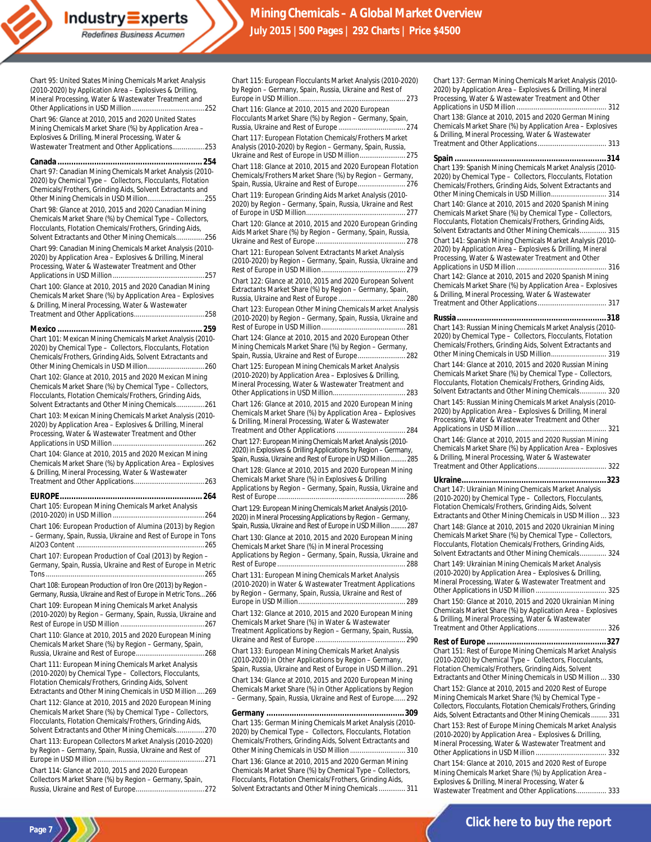Mineral Processing, Water & Wastewater Treatment and Other Applications in USD Million......................................252 Chart 96: Glance at 2010, 2015 and 2020 United States Mining Chemicals Market Share (%) by Application Area – Explosives & Drilling, Mineral Processing, Water & Wastewater Treatment and Other Applications.................253 **Canada ...............................................................254** Chart 97: Canadian Mining Chemicals Market Analysis (2010- 2020) by Chemical Type – Collectors, Flocculants, Flotation Chemicals/Frothers, Grinding Aids, Solvent Extractants and Other Mining Chemicals in USD Million..............................255 Chart 98: Glance at 2010, 2015 and 2020 Canadian Mining Chemicals Market Share (%) by Chemical Type – Collectors, Flocculants, Flotation Chemicals/Frothers, Grinding Aids, Solvent Extractants and Other Mining Chemicals...............256 Chart 99: Canadian Mining Chemicals Market Analysis (2010- 2020) by Application Area – Explosives & Drilling, Mineral Processing, Water & Wastewater Treatment and Other Applications in USD Million ................................................257 Chart 100: Glance at 2010, 2015 and 2020 Canadian Mining Chemicals Market Share (%) by Application Area – Explosives & Drilling, Mineral Processing, Water & Wastewater Treatment and Other Applications.....................................258 **Mexico ...............................................................259** Chart 101: Mexican Mining Chemicals Market Analysis (2010- 2020) by Chemical Type – Collectors, Flocculants, Flotation Chemicals/Frothers, Grinding Aids, Solvent Extractants and Other Mining Chemicals in USD Million..............................260 Chart 102: Glance at 2010, 2015 and 2020 Mexican Mining Chemicals Market Share (%) by Chemical Type – Collectors, Flocculants, Flotation Chemicals/Frothers, Grinding Aids, Solvent Extractants and Other Mining Chemicals...............261 Chart 103: Mexican Mining Chemicals Market Analysis (2010- 2020) by Application Area – Explosives & Drilling, Mineral Processing, Water & Wastewater Treatment and Other Applications in USD Million ................................................262 Chart 104: Glance at 2010, 2015 and 2020 Mexican Mining Chemicals Market Share (%) by Application Area – Explosives & Drilling, Mineral Processing, Water & Wastewater Treatment and Other Applications.....................................263 **EUROPE.............................................................. 264** Chart 105: European Mining Chemicals Market Analysis (2010-2020) in USD Million ................................................264 Chart 106: European Production of Alumina (2013) by Region – Germany, Spain, Russia, Ukraine and Rest of Europe in Tons Al2O3 Content ...................................................................265 Chart 107: European Production of Coal (2013) by Region – Germany, Spain, Russia, Ukraine and Rest of Europe in Metric Tons...................................................................................265 Chart 108: European Production of Iron Ore (2013) by Region – Germany, Russia, Ukraine and Rest of Europe in Metric Tons...266 Chart 109: European Mining Chemicals Market Analysis (2010-2020) by Region – Germany, Spain, Russia, Ukraine and Rest of Europe in USD Million ............................................267 Chart 110: Glance at 2010, 2015 and 2020 European Mining Chemicals Market Share (%) by Region – Germany, Spain, Russia, Ukraine and Rest of Europe....................................268 Chart 111: European Mining Chemicals Market Analysis (2010-2020) by Chemical Type – Collectors, Flocculants, Flotation Chemicals/Frothers, Grinding Aids, Solvent Extractants and Other Mining Chemicals in USD Million ....269 Chart 112: Glance at 2010, 2015 and 2020 European Mining Chemicals Market Share (%) by Chemical Type – Collectors, Flocculants, Flotation Chemicals/Frothers, Grinding Aids, Solvent Extractants and Other Mining Chemicals...............270 Chart 113: European Collectors Market Analysis (2010-2020) by Region – Germany, Spain, Russia, Ukraine and Rest of Europe in USD Million ........................................................271 Chart 114: Glance at 2010, 2015 and 2020 European Collectors Market Share (%) by Region – Germany, Spain, Russia, Ukraine and Rest of Europe....................................272

Chart 95: United States Mining Chemicals Market Analysis (2010-2020) by Application Area – Explosives & Drilling,

**Industry** Experts Redefines Business Acumen

**Page 7** )

Chart 115: European Flocculants Market Analysis (2010-2020) by Region – Germany, Spain, Russia, Ukraine and Rest of Europe in USD Million........................................................ 273

Chart 116: Glance at 2010, 2015 and 2020 European Flocculants Market Share (%) by Region – Germany, Spain, Russia, Ukraine and Rest of Europe ................................... 274 Chart 117: European Flotation Chemicals/Frothers Market

Analysis (2010-2020) by Region – Germany, Spain, Russia, Ukraine and Rest of Europe in USD Million........................ 275

Chart 118: Glance at 2010, 2015 and 2020 European Flotation Chemicals/Frothers Market Share (%) by Region – Germany, Spain, Russia, Ukraine and Rest of Europe......................... 276

Chart 119: European Grinding Aids Market Analysis (2010- 2020) by Region – Germany, Spain, Russia, Ukraine and Rest of Europe in USD Million.................................................... 277

Chart 120: Glance at 2010, 2015 and 2020 European Grinding Aids Market Share (%) by Region – Germany, Spain, Russia, Ukraine and Rest of Europe ............................................... 278

Chart 121: European Solvent Extractants Market Analysis (2010-2020) by Region – Germany, Spain, Russia, Ukraine and Rest of Europe in USD Million............................................ 279

Chart 122: Glance at 2010, 2015 and 2020 European Solvent Extractants Market Share (%) by Region – Germany, Spain, Russia, Ukraine and Rest of Europe ................................... 280

Chart 123: European Other Mining Chemicals Market Analysis (2010-2020) by Region – Germany, Spain, Russia, Ukraine and Rest of Europe in USD Million............................................ 281

Chart 124: Glance at 2010, 2015 and 2020 European Other Mining Chemicals Market Share (%) by Region – Germany, Spain, Russia, Ukraine and Rest of Europe......................... 282

Chart 125: European Mining Chemicals Market Analysis (2010-2020) by Application Area – Explosives & Drilling, Mineral Processing, Water & Wastewater Treatment and Other Applications in USD Million...................................... 283

Chart 126: Glance at 2010, 2015 and 2020 European Mining Chemicals Market Share (%) by Application Area – Explosives & Drilling, Mineral Processing, Water & Wastewater Treatment and Other Applications .................................... 284

Chart 127: European Mining Chemicals Market Analysis (2010- 2020) in Explosives & Drilling Applications by Region – Germany, Spain, Russia, Ukraine and Rest of Europe in USD Million... Chart 128: Glance at 2010, 2015 and 2020 European Mining Chemicals Market Share (%) in Explosives & Drilling Applications by Region – Germany, Spain, Russia, Ukraine and

Rest of Europe ................................................................... 286 Chart 129: European Mining Chemicals Market Analysis (2010- 2020) in Mineral Processing Applications by Region – Germany, Spain, Russia, Ukraine and Rest of Europe in USD Million.........287

Chart 130: Glance at 2010, 2015 and 2020 European Mining Chemicals Market Share (%) in Mineral Processing Applications by Region – Germany, Spain, Russia, Ukraine and Rest of Europe ................................................................... 288

Chart 131: European Mining Chemicals Market Analysis (2010-2020) in Water & Wastewater Treatment Applications by Region – Germany, Spain, Russia, Ukraine and Rest of Europe in USD Million........................................................ 289

Chart 132: Glance at 2010, 2015 and 2020 European Mining Chemicals Market Share (%) in Water & Wastewater Treatment Applications by Region – Germany, Spain, Russia, Ukraine and Rest of Europe ............................................... 290

Chart 133: European Mining Chemicals Market Analysis (2010-2020) in Other Applications by Region – Germany, Spain, Russia, Ukraine and Rest of Europe in USD Million.. 291

Chart 134: Glance at 2010, 2015 and 2020 European Mining Chemicals Market Share (%) in Other Applications by Region – Germany, Spain, Russia, Ukraine and Rest of Europe...... 292

**Germany ............................................................309** Chart 135: German Mining Chemicals Market Analysis (2010- 2020) by Chemical Type – Collectors, Flocculants, Flotation Chemicals/Frothers, Grinding Aids, Solvent Extractants and Other Mining Chemicals in USD Million ............................. 310

Chart 136: Glance at 2010, 2015 and 2020 German Mining Chemicals Market Share (%) by Chemical Type – Collectors, Flocculants, Flotation Chemicals/Frothers, Grinding Aids, Solvent Extractants and Other Mining Chemicals.............. 311 Chart 137: German Mining Chemicals Market Analysis (2010- 2020) by Application Area – Explosives & Drilling, Mineral Processing, Water & Wastewater Treatment and Other Applications in USD Million ............................................... 312 Chart 138: Glance at 2010, 2015 and 2020 German Mining Chemicals Market Share (%) by Application Area – Explosives & Drilling, Mineral Processing, Water & Wastewater Treatment and Other Applications.............................

**Spain ..................................................................314** Chart 139: Spanish Mining Chemicals Market Analysis (2010-

| 2020) by Chemical Type - Collectors, Flocculants, Flotation                                                                                                                    |
|--------------------------------------------------------------------------------------------------------------------------------------------------------------------------------|
| Chemicals/Frothers, Grinding Aids, Solvent Extractants and                                                                                                                     |
|                                                                                                                                                                                |
| Chart 140: Glance at 2010, 2015 and 2020 Spanish Mining                                                                                                                        |
| Chemicals Market Share (%) by Chemical Type - Collectors,                                                                                                                      |
| Flocculants, Flotation Chemicals/Frothers, Grinding Aids,                                                                                                                      |
| Solvent Extractants and Other Mining Chemicals 315                                                                                                                             |
| Chart 141: Spanish Mining Chemicals Market Analysis (2010-<br>2020) by Application Area - Explosives & Drilling, Mineral<br>Processing, Water & Wastewater Treatment and Other |
|                                                                                                                                                                                |
| Chart 142: Glance at 2010, 2015 and 2020 Spanish Mining<br>Chemicals Market Share (%) by Application Area - Explosives                                                         |
| & Drilling, Mineral Processing, Water & Wastewater                                                                                                                             |
|                                                                                                                                                                                |
|                                                                                                                                                                                |
|                                                                                                                                                                                |
| Chart 143: Russian Mining Chemicals Market Analysis (2010-                                                                                                                     |
| 2020) by Chemical Type - Collectors, Flocculants, Flotation                                                                                                                    |
| Chemicals/Frothers, Grinding Aids, Solvent Extractants and                                                                                                                     |
| Other Mining Chemicals in USD Million 319                                                                                                                                      |

Chart 144: Glance at 2010, 2015 and 2020 Russian Mining Chemicals Market Share (%) by Chemical Type – Collectors, Flocculants, Flotation Chemicals/Frothers, Grinding Aids, Solvent Extractants and Other Mining Chemicals.............. 320

Chart 145: Russian Mining Chemicals Market Analysis (2010- 2020) by Application Area – Explosives & Drilling, Mineral Processing, Water & Wastewater Treatment and Other Applications in USD Million ............................................... 321 Chart 146: Glance at 2010, 2015 and 2020 Russian Mining

| Chemicals Market Share (%) by Application Area - Explosives |  |
|-------------------------------------------------------------|--|
| & Drilling, Mineral Processing, Water & Wastewater          |  |
|                                                             |  |

| Chart 147: Ukrainian Mining Chemicals Market Analysis<br>(2010-2020) by Chemical Type - Collectors, Flocculants,<br>Flotation Chemicals/Frothers, Grinding Aids, Solvent<br>Extractants and Other Mining Chemicals in USD Million  323                                                                                                                      |
|-------------------------------------------------------------------------------------------------------------------------------------------------------------------------------------------------------------------------------------------------------------------------------------------------------------------------------------------------------------|
| Chart 148: Glance at 2010, 2015 and 2020 Ukrainian Mining<br>Chemicals Market Share (%) by Chemical Type - Collectors,<br>Flocculants, Flotation Chemicals/Frothers, Grinding Aids,<br>Solvent Extractants and Other Mining Chemicals 324                                                                                                                   |
| Chart 149: Ukrainian Mining Chemicals Market Analysis<br>(2010-2020) by Application Area - Explosives & Drilling,<br>Mineral Processing, Water & Wastewater Treatment and<br>Chart 150: Glance at 2010, 2015 and 2020 Ukrainian Mining<br>Chemicals Market Share (%) by Application Area - Explosives<br>& Drilling, Mineral Processing, Water & Wastewater |

**Rest of Europe ....................................................327** Chart 151: Rest of Europe Mining Chemicals Market Analysis (2010-2020) by Chemical Type – Collectors, Flocculants, Flotation Chemicals/Frothers, Grinding Aids, Solvent Extractants and Other Mining Chemicals in USD Million ... 330 Chart 152: Glance at 2010, 2015 and 2020 Rest of Europe Mining Chemicals Market Share (%) by Chemical Type – Collectors, Flocculants, Flotation Chemicals/Frothers, Grinding Aids, Solvent Extractants and Other Mining Chemicals......... 331 Chart 153: Rest of Europe Mining Chemicals Market Analysis (2010-2020) by Application Area – Explosives & Drilling,

Mineral Processing, Water & Wastewater Treatment and<br>Other Applications in USD Million 332 Other Applications in USD Million ..................................... 332

Chart 154: Glance at 2010, 2015 and 2020 Rest of Europe Mining Chemicals Market Share (%) by Application Area – Explosives & Drilling, Mineral Processing, Water & Wastewater Treatment and Other Applications................ 333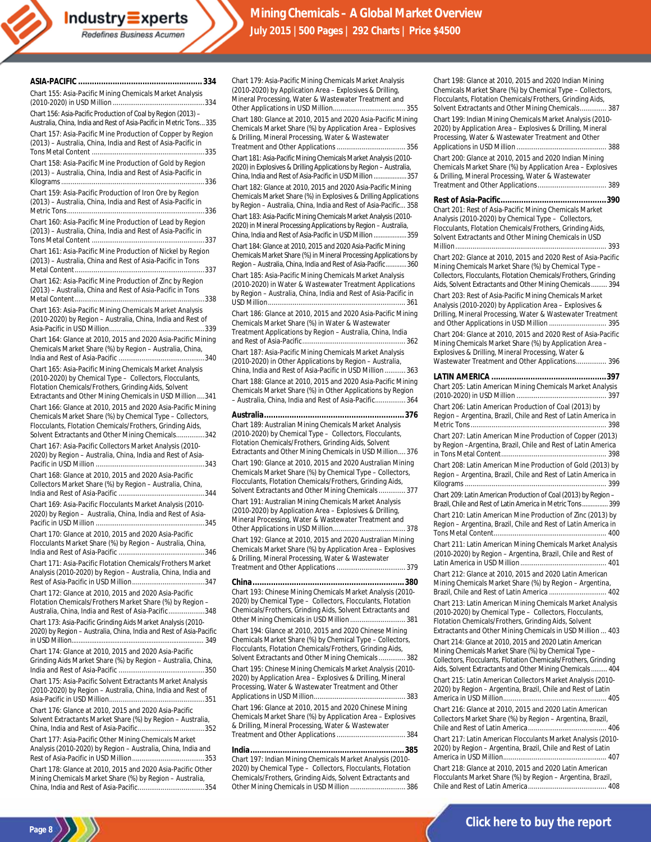#### **ASIA-PACIFIC ...................................................... 334**

Chart 155: Asia-Pacific Mining Chemicals Market Analysis (2010-2020) in USD Million ................................................334

**Industry** Experts Redefines Business Acumen

Chart 156: Asia-Pacific Production of Coal by Region (2013) – Australia, China, India and Rest of Asia-Pacific in Metric Tons...335 Chart 157: Asia-Pacific Mine Production of Copper by Region

(2013) – Australia, China, India and Rest of Asia-Pacific in Tons Metal Content ...........................................................335

Chart 158: Asia-Pacific Mine Production of Gold by Region (2013) – Australia, China, India and Rest of Asia-Pacific in Kilograms...........................................................................336

Chart 159: Asia-Pacific Production of Iron Ore by Region (2013) – Australia, China, India and Rest of Asia-Pacific in Metric Tons........................................................................336

Chart 160: Asia-Pacific Mine Production of Lead by Region (2013) – Australia, China, India and Rest of Asia-Pacific in Tons Metal Content ...........................................................337

Chart 161: Asia-Pacific Mine Production of Nickel by Region (2013) – Australia, China and Rest of Asia-Pacific in Tons Metal Content....................................................................337

Chart 162: Asia-Pacific Mine Production of Zinc by Region (2013) – Australia, China and Rest of Asia-Pacific in Tons Metal Content....................................................................338

Chart 163: Asia-Pacific Mining Chemicals Market Analysis (2010-2020) by Region – Australia, China, India and Rest of Asia-Pacific in USD Million..................................................339

Chart 164: Glance at 2010, 2015 and 2020 Asia-Pacific Mining Chemicals Market Share (%) by Region – Australia, China, India and Rest of Asia-Pacific .............................................340

Chart 165: Asia-Pacific Mining Chemicals Market Analysis (2010-2020) by Chemical Type – Collectors, Flocculants, Flotation Chemicals/Frothers, Grinding Aids, Solvent

Extractants and Other Mining Chemicals in USD Million ....341 Chart 166: Glance at 2010, 2015 and 2020 Asia-Pacific Mining Chemicals Market Share (%) by Chemical Type – Collectors, Flocculants, Flotation Chemicals/Frothers, Grinding Aids, Solvent Extractants and Other Mining Chemicals...............342

Chart 167: Asia-Pacific Collectors Market Analysis (2010- 2020) by Region – Australia, China, India and Rest of Asia-Pacific in USD Million .........................................................343

Chart 168: Glance at 2010, 2015 and 2020 Asia-Pacific Collectors Market Share (%) by Region – Australia, China, India and Rest of Asia-Pacific .............................................344

Chart 169: Asia-Pacific Flocculants Market Analysis (2010- 2020) by Region – Australia, China, India and Rest of Asia-Pacific in USD Million .........................................................345

Chart 170: Glance at 2010, 2015 and 2020 Asia-Pacific Flocculants Market Share (%) by Region – Australia, China, India and Rest of Asia-Pacific .............................................346

Chart 171: Asia-Pacific Flotation Chemicals/Frothers Market Analysis (2010-2020) by Region – Australia, China, India and Rest of Asia-Pacific in USD Million......................................347

Chart 172: Glance at 2010, 2015 and 2020 Asia-Pacific Flotation Chemicals/Frothers Market Share (%) by Region – Australia, China, India and Rest of Asia-Pacific...................348

Chart 173: Asia-Pacific Grinding Aids Market Analysis (2010- 2020) by Region – Australia, China, India and Rest of Asia-Pacific in USD Million.........

Chart 174: Glance at 2010, 2015 and 2020 Asia-Pacific Grinding Aids Market Share (%) by Region – Australia, China, India and Rest of Asia-Pacific .............................................350

Chart 175: Asia-Pacific Solvent Extractants Market Analysis (2010-2020) by Region – Australia, China, India and Rest of Asia-Pacific in USD Million..................................................351

Chart 176: Glance at 2010, 2015 and 2020 Asia-Pacific Solvent Extractants Market Share (%) by Region – Australia, China, India and Rest of Asia-Pacific...................................352

Chart 177: Asia-Pacific Other Mining Chemicals Market Analysis (2010-2020) by Region – Australia, China, India and Rest of Asia-Pacific in USD Million......................................353

Chart 178: Glance at 2010, 2015 and 2020 Asia-Pacific Other Mining Chemicals Market Share (%) by Region – Australia, China, India and Rest of Asia-Pacific...................................354

Chart 179: Asia-Pacific Mining Chemicals Market Analysis (2010-2020) by Application Area – Explosives & Drilling, Mineral Processing, Water & Wastewater Treatment and Other Applications in USD Million...................................... 355

Chart 180: Glance at 2010, 2015 and 2020 Asia-Pacific Mining Chemicals Market Share (%) by Application Area – Explosives & Drilling, Mineral Processing, Water & Wastewater Treatment and Other Applications .................................... 356

Chart 181: Asia-Pacific Mining Chemicals Market Analysis (2010- 2020) in Explosives & Drilling Applications by Region – Australia, China, India and Rest of Asia-Pacific in USD Million...................357

Chart 182: Glance at 2010, 2015 and 2020 Asia-Pacific Mining Chemicals Market Share (%) in Explosives & Drilling Applications by Region – Australia, China, India and Rest of Asia-Pacific... 358 Chart 183: Asia-Pacific Mining Chemicals Market Analysis (2010- 2020) in Mineral Processing Applications by Region – Australia, China, India and Rest of Asia-Pacific in USD Million...................359 Chart 184: Glance at 2010, 2015 and 2020 Asia-Pacific Mining Chemicals Market Share (%) in Mineral Processing Applications by Region – Australia, China, India and Rest of Asia-Pacific............360 Chart 185: Asia-Pacific Mining Chemicals Market Analysis (2010-2020) in Water & Wastewater Treatment Applications

by Region – Australia, China, India and Rest of Asia-Pacific in USD Million........................................................................ 361 Chart 186: Glance at 2010, 2015 and 2020 Asia-Pacific Mining

Chemicals Market Share (%) in Water & Wastewater Treatment Applications by Region – Australia, China, India and Rest of Asia-Pacific...................................................... 362

Chart 187: Asia-Pacific Mining Chemicals Market Analysis (2010-2020) in Other Applications by Region – Australia, China, India and Rest of Asia-Pacific in USD Million ........... 363 Chart 188: Glance at 2010, 2015 and 2020 Asia-Pacific Mining Chemicals Market Share (%) in Other Applications by Region – Australia, China, India and Rest of Asia-Pacific................ 364

**Australia.............................................................376** Chart 189: Australian Mining Chemicals Market Analysis (2010-2020) by Chemical Type – Collectors, Flocculants, Flotation Chemicals/Frothers, Grinding Aids, Solvent Extractants and Other Mining Chemicals in USD Million.... 376 Chart 190: Glance at 2010, 2015 and 2020 Australian Mining Chemicals Market Share (%) by Chemical Type – Collectors, Flocculants, Flotation Chemicals/Frothers, Grinding Aids, Solvent Extractants and Other Mining Chemicals.............. 377

Chart 191: Australian Mining Chemicals Market Analysis (2010-2020) by Application Area – Explosives & Drilling, Mineral Processing, Water & Wastewater Treatment and Other Applications in USD Million...................................... 378 Chart 192: Glance at 2010, 2015 and 2020 Australian Mining Chemicals Market Share (%) by Application Area – Explosives & Drilling, Mineral Processing, Water & Wastewater Treatment and Other Applications .................................... 379

**China..................................................................380** Chart 193: Chinese Mining Chemicals Market Analysis (2010- 2020) by Chemical Type – Collectors, Flocculants, Flotation Chemicals/Frothers, Grinding Aids, Solvent Extractants and Other Mining Chemicals in USD Million ............................. 381 Chart 194: Glance at 2010, 2015 and 2020 Chinese Mining Chemicals Market Share (%) by Chemical Type – Collectors, Flocculants, Flotation Chemicals/Frothers, Grinding Aids, Solvent Extractants and Other Mining Chemicals.............. 382 Chart 195: Chinese Mining Chemicals Market Analysis (2010- 2020) by Application Area – Explosives & Drilling, Mineral Processing, Water & Wastewater Treatment and Other Applications in USD Million................................................ 383 Chart 196: Glance at 2010, 2015 and 2020 Chinese Mining Chemicals Market Share (%) by Application Area – Explosives & Drilling, Mineral Processing, Water & Wastewater Treatment and Other Applications ...........................

**India...................................................................385** Chart 197: Indian Mining Chemicals Market Analysis (2010- 2020) by Chemical Type – Collectors, Flocculants, Flotation Chemicals/Frothers, Grinding Aids, Solvent Extractants and Other Mining Chemicals in USD Million ............................. 386

Chemicals Market Share (%) by Chemical Type – Collectors, Flocculants, Flotation Chemicals/Frothers, Grinding Aids, Solvent Extractants and Other Mining Chemicals.............. 387 Chart 199: Indian Mining Chemicals Market Analysis (2010- 2020) by Application Area – Explosives & Drilling, Mineral Processing, Water & Wastewater Treatment and Other Applications in USD Million ............................................... 388 Chart 200: Glance at 2010, 2015 and 2020 Indian Mining Chemicals Market Share (%) by Application Area – Explosives & Drilling, Mineral Processing, Water & Wastewater Treatment and Other Applications.................................... 389 **Rest of Asia-Pacific..............................................390** Chart 201: Rest of Asia-Pacific Mining Chemicals Market Analysis (2010-2020) by Chemical Type – Collectors, Flocculants, Flotation Chemicals/Frothers, Grinding Aids, Solvent Extractants and Other Mining Chemicals in USD Million............................................................................... 393 Chart 202: Glance at 2010, 2015 and 2020 Rest of Asia-Pacific Mining Chemicals Market Share (%) by Chemical Type – Collectors, Flocculants, Flotation Chemicals/Frothers, Grinding Aids, Solvent Extractants and Other Mining Chemicals......... 394 Chart 203: Rest of Asia-Pacific Mining Chemicals Market Analysis (2010-2020) by Application Area – Explosives & Drilling, Mineral Processing, Water & Wastewater Treatment and Other Applications in USD Million .............................. 395 Chart 204: Glance at 2010, 2015 and 2020 Rest of Asia-Pacific Mining Chemicals Market Share (%) by Application Area – Explosives & Drilling, Mineral Processing, Water &

Chart 198: Glance at 2010, 2015 and 2020 Indian Mining

Wastewater Treatment and Other Applications................ 396 **LATIN AMERICA ..................................................397** Chart 205: Latin American Mining Chemicals Market Analysis (2010-2020) in USD Million ............................................... 397 Chart 206: Latin American Production of Coal (2013) by Region – Argentina, Brazil, Chile and Rest of Latin America in Metric Tons....................................................................... 398 Chart 207: Latin American Mine Production of Copper (2013) by Region –Argentina, Brazil, Chile and Rest of Latin America in Tons Metal Content....................................................... 398 Chart 208: Latin American Mine Production of Gold (2013) by Region – Argentina, Brazil, Chile and Rest of Latin America in Kilograms .......................................................................... 399 Chart 209: Latin American Production of Coal (2013) by Region – Brazil, Chile and Rest of Latin America in Metric Tons............... 399 Chart 210: Latin American Mine Production of Zinc (2013) by Region – Argentina, Brazil, Chile and Rest of Latin America in Tons Metal Content........................................................... 400 Chart 211: Latin American Mining Chemicals Market Analysis (2010-2020) by Region – Argentina, Brazil, Chile and Rest of Latin America in USD Million............................................. 401 Chart 212: Glance at 2010, 2015 and 2020 Latin American Mining Chemicals Market Share (%) by Region – Argentina, Brazil, Chile and Rest of Latin America .............................. 402 Chart 213: Latin American Mining Chemicals Market Analysis (2010-2020) by Chemical Type – Collectors, Flocculants, Flotation Chemicals/Frothers, Grinding Aids, Solvent Extractants and Other Mining Chemicals in USD Million ... 403 Chart 214: Glance at 2010, 2015 and 2020 Latin American Mining Chemicals Market Share (%) by Chemical Type – Collectors, Flocculants, Flotation Chemicals/Frothers, Grinding Aids, Solvent Extractants and Other Mining Chemicals......... 404 Chart 215: Latin American Collectors Market Analysis (2010- 2020) by Region – Argentina, Brazil, Chile and Rest of Latin America in USD Million...................................................... 405 Chart 216: Glance at 2010, 2015 and 2020 Latin American Collectors Market Share (%) by Region – Argentina, Brazil, Chile and Rest of Latin America......................................... 406 Chart 217: Latin American Flocculants Market Analysis (2010-

2020) by Region – Argentina, Brazil, Chile and Rest of Latin America in USD Million...................................................... 407 Chart 218: Glance at 2010, 2015 and 2020 Latin American

Flocculants Market Share (%) by Region – Argentina, Brazil, Chile and Rest of Latin America......................................... 408

**Page 8** ) ) )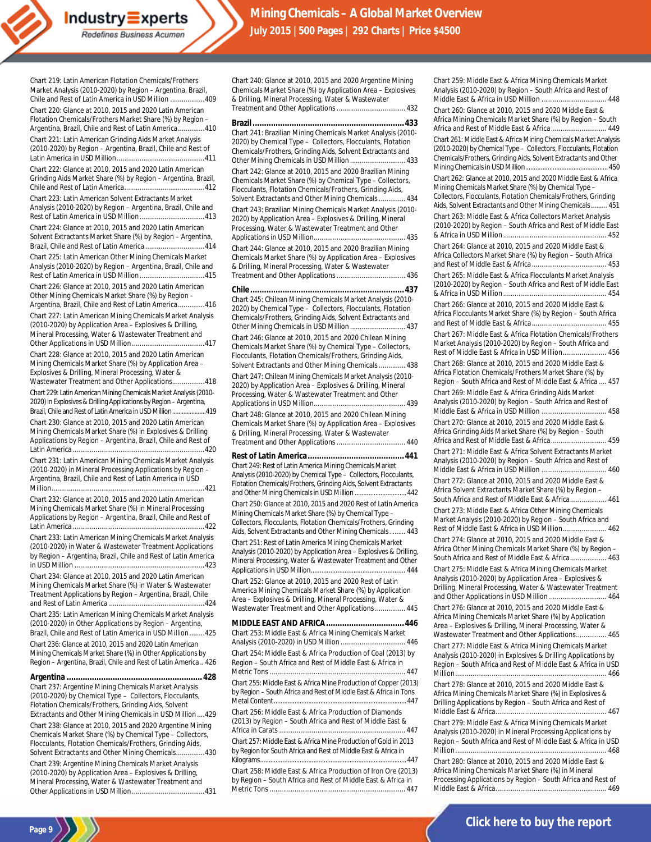Chart 219: Latin American Flotation Chemicals/Frothers Market Analysis (2010-2020) by Region – Argentina, Brazil, Chile and Rest of Latin America in USD Million ..................409 Chart 220: Glance at 2010, 2015 and 2020 Latin American Flotation Chemicals/Frothers Market Share (%) by Region –

**Industry** Experts Redefines Business Acumen

Argentina, Brazil, Chile and Rest of Latin America..............410 Chart 221: Latin American Grinding Aids Market Analysis (2010-2020) by Region – Argentina, Brazil, Chile and Rest of Latin America in USD Million..............................................411

Chart 222: Glance at 2010, 2015 and 2020 Latin American Grinding Aids Market Share (%) by Region – Argentina, Brazil, Chile and Rest of Latin America..........................................412

Chart 223: Latin American Solvent Extractants Market Analysis (2010-2020) by Region – Argentina, Brazil, Chile and Rest of Latin America in USD Million..................................413

Chart 224: Glance at 2010, 2015 and 2020 Latin American Solvent Extractants Market Share (%) by Region – Argentina, Brazil, Chile and Rest of Latin America ...............................414

Chart 225: Latin American Other Mining Chemicals Market Analysis (2010-2020) by Region – Argentina, Brazil, Chile and Rest of Latin America in USD Million..................................415

Chart 226: Glance at 2010, 2015 and 2020 Latin American Other Mining Chemicals Market Share (%) by Region –

Argentina, Brazil, Chile and Rest of Latin America..............416 Chart 227: Latin American Mining Chemicals Market Analysis (2010-2020) by Application Area – Explosives & Drilling, Mineral Processing, Water & Wastewater Treatment and Other Applications in USD Million......................................417

Chart 228: Glance at 2010, 2015 and 2020 Latin American Mining Chemicals Market Share (%) by Application Area – Explosives & Drilling, Mineral Processing, Water &

Wastewater Treatment and Other Applications.................418 Chart 229: Latin American Mining Chemicals Market Analysis (2010-

2020) in Explosives & Drilling Applications by Region –Argentina, Brazil, Chile and Rest of Latin America in USD Million.......... Chart 230: Glance at 2010, 2015 and 2020 Latin American Mining Chemicals Market Share (%) in Explosives & Drilling Applications by Region – Argentina, Brazil, Chile and Rest of Latin America .....................................................................420

Chart 231: Latin American Mining Chemicals Market Analysis (2010-2020) in Mineral Processing Applications by Region – Argentina, Brazil, Chile and Rest of Latin America in USD Million................................................................................421

Chart 232: Glance at 2010, 2015 and 2020 Latin American Mining Chemicals Market Share (%) in Mineral Processing Applications by Region – Argentina, Brazil, Chile and Rest of Latin America .....................................................................422

Chart 233: Latin American Mining Chemicals Market Analysis (2010-2020) in Water & Wastewater Treatment Applications by Region – Argentina, Brazil, Chile and Rest of Latin America in USD Million ....................................................................423

Chart 234: Glance at 2010, 2015 and 2020 Latin American Mining Chemicals Market Share (%) in Water & Wastewater Treatment Applications by Region – Argentina, Brazil, Chile and Rest of Latin America ..................................................424

Chart 235: Latin American Mining Chemicals Market Analysis (2010-2020) in Other Applications by Region – Argentina, Brazil, Chile and Rest of Latin America in USD Million........425 Chart 236: Glance at 2010, 2015 and 2020 Latin American Mining Chemicals Market Share (%) in Other Applications by Region – Argentina, Brazil, Chile and Rest of Latin America .. 426

**Argentina ........................................................... 428** Chart 237: Argentine Mining Chemicals Market Analysis (2010-2020) by Chemical Type – Collectors, Flocculants, Flotation Chemicals/Frothers, Grinding Aids, Solvent Extractants and Other Mining Chemicals in USD Million ....429 Chart 238: Glance at 2010, 2015 and 2020 Argentine Mining Chemicals Market Share (%) by Chemical Type – Collectors, Flocculants, Flotation Chemicals/Frothers, Grinding Aids, Solvent Extractants and Other Mining Chemicals...............430

Chart 239: Argentine Mining Chemicals Market Analysis (2010-2020) by Application Area – Explosives & Drilling, Mineral Processing, Water & Wastewater Treatment and Other Applications in USD Million......................................431 Chart 240: Glance at 2010, 2015 and 2020 Argentine Mining Chemicals Market Share (%) by Application Area – Explosives & Drilling, Mineral Processing, Water & Wastewater Treatment and Other Applications .................................... 432

**Brazil..................................................................433** Chart 241: Brazilian Mining Chemicals Market Analysis (2010- 2020) by Chemical Type – Collectors, Flocculants, Flotation Chemicals/Frothers, Grinding Aids, Solvent Extractants and Other Mining Chemicals in USD Million ............................. 433

Chart 242: Glance at 2010, 2015 and 2020 Brazilian Mining Chemicals Market Share (%) by Chemical Type – Collectors, Flocculants, Flotation Chemicals/Frothers, Grinding Aids, Solvent Extractants and Other Mining Chemicals.............. 434

Chart 243: Brazilian Mining Chemicals Market Analysis (2010- 2020) by Application Area – Explosives & Drilling, Mineral Processing, Water & Wastewater Treatment and Other Applications in USD Million................................................ 435

Chart 244: Glance at 2010, 2015 and 2020 Brazilian Mining Chemicals Market Share (%) by Application Area – Explosives & Drilling, Mineral Processing, Water & Wastewater Treatment and Other Applications .................................... 436

### **Chile...................................................................437**

Chart 245: Chilean Mining Chemicals Market Analysis (2010- 2020) by Chemical Type – Collectors, Flocculants, Flotation Chemicals/Frothers, Grinding Aids, Solvent Extractants and Other Mining Chemicals in USD Million ........................

Chart 246: Glance at 2010, 2015 and 2020 Chilean Mining Chemicals Market Share (%) by Chemical Type – Collectors, Flocculants, Flotation Chemicals/Frothers, Grinding Aids, Solvent Extractants and Other Mining Chemicals.............. 438

Chart 247: Chilean Mining Chemicals Market Analysis (2010- 2020) by Application Area – Explosives & Drilling, Mineral Processing, Water & Wastewater Treatment and Other Applications in USD Million................................................ 439

Chart 248: Glance at 2010, 2015 and 2020 Chilean Mining Chemicals Market Share (%) by Application Area – Explosives & Drilling, Mineral Processing, Water & Wastewater Treatment and Other Applications .................................... 440

**Rest of Latin America..........................................441** Chart 249: Rest of Latin America Mining Chemicals Market Analysis (2010-2020) by Chemical Type – Collectors, Flocculants, Flotation Chemicals/Frothers, Grinding Aids, Solvent Extractants and Other Mining Chemicals in USD Million ..............................442 Chart 250: Glance at 2010, 2015 and 2020 Rest of Latin America Mining Chemicals Market Share (%) by Chemical Type –

Collectors, Flocculants, Flotation Chemicals/Frothers, Grinding Aids, Solvent Extractants and Other Mining Chemicals......... 443

Chart 251: Rest of Latin America Mining Chemicals Market Analysis (2010-2020) by Application Area – Explosives & Drilling, Mineral Processing, Water & Wastewater Treatment and Other Applications in USD Million..................................................... 444

Chart 252: Glance at 2010, 2015 and 2020 Rest of Latin America Mining Chemicals Market Share (%) by Application Area – Explosives & Drilling, Mineral Processing, Water & Wastewater Treatment and Other Applications................ 445

#### **MIDDLE EAST AND AFRICA..................................446**

Chart 253: Middle East & Africa Mining Chemicals Market Analysis (2010-2020) in USD Million .................................. 446

Chart 254: Middle East & Africa Production of Coal (2013) by Region – South Africa and Rest of Middle East & Africa in Metric Tons ....................................................................... 447

Chart 255: Middle East & Africa Mine Production of Copper (2013) by Region – South Africa and Rest of Middle East & Africa in Tons Metal Content.............................................................................447

Chart 256: Middle East & Africa Production of Diamonds (2013) by Region – South Africa and Rest of Middle East & Africa in Carats .................................................................. 447

Chart 257: Middle East & Africa Mine Production of Gold in 2013 by Region for South Africa and Rest of Middle East & Africa in Kilograms.....................................................................................447

Chart 258: Middle East & Africa Production of Iron Ore (2013) by Region – South Africa and Rest of Middle East & Africa in Metric Tons ....................................................................... 447

Chart 259: Middle East & Africa Mining Chemicals Market Analysis (2010-2020) by Region – South Africa and Rest of Middle East & Africa in USD Million .................................. 448

Chart 260: Glance at 2010, 2015 and 2020 Middle East & Africa Mining Chemicals Market Share (%) by Region – South Africa and Rest of Middle East & Africa............................. 449

Chart 261: Middle East & Africa Mining Chemicals Market Analysis (2010-2020) by Chemical Type – Collectors, Flocculants, Flotation Chemicals/Frothers, Grinding Aids, Solvent Extractants and Other Mining Chemicals in USD Million................................................ 450 Chart 262: Glance at 2010, 2015 and 2020 Middle East & Africa Mining Chemicals Market Share (%) by Chemical Type – Collectors, Flocculants, Flotation Chemicals/Frothers, Grinding Aids, Solvent Extractants and Other Mining Chemicals......... 451 Chart 263: Middle East & Africa Collectors Market Analysis (2010-2020) by Region – South Africa and Rest of Middle East & Africa in USD Million...................................................... 452 Chart 264: Glance at 2010, 2015 and 2020 Middle East & Africa Collectors Market Share (%) by Region – South Africa and Rest of Middle East & Africa ....................................... 453 Chart 265: Middle East & Africa Flocculants Market Analysis (2010-2020) by Region – South Africa and Rest of Middle East & Africa in USD Million...................................................... 454 Chart 266: Glance at 2010, 2015 and 2020 Middle East &

Africa Flocculants Market Share (%) by Region – South Africa and Rest of Middle East & Africa ....................................... 455

Chart 267: Middle East & Africa Flotation Chemicals/Frothers Market Analysis (2010-2020) by Region – South Africa and Rest of Middle East & Africa in USD Million....................... 456

Chart 268: Glance at 2010, 2015 and 2020 Middle East & Africa Flotation Chemicals/Frothers Market Share (%) by Region – South Africa and Rest of Middle East & Africa .... 457 Chart 269: Middle East & Africa Grinding Aids Market

Analysis (2010-2020) by Region – South Africa and Rest of Middle East & Africa in USD Million .................................. 458 Chart 270: Glance at 2010, 2015 and 2020 Middle East &

Africa Grinding Aids Market Share (%) by Region – South Africa and Rest of Middle East & Africa............................. 459

Chart 271: Middle East & Africa Solvent Extractants Market Analysis (2010-2020) by Region – South Africa and Rest of

Middle East & Africa in USD Million .................................. 460 Chart 272: Glance at 2010, 2015 and 2020 Middle East & Africa Solvent Extractants Market Share (%) by Region – South Africa and Rest of Middle East & Africa................... 461

Chart 273: Middle East & Africa Other Mining Chemicals Market Analysis (2010-2020) by Region – South Africa and Rest of Middle East & Africa in USD Million....................... 462

Chart 274: Glance at 2010, 2015 and 2020 Middle East & Africa Other Mining Chemicals Market Share (%) by Region – South Africa and Rest of Middle East & Africa................... 463

Chart 275: Middle East & Africa Mining Chemicals Market Analysis (2010-2020) by Application Area – Explosives & Drilling, Mineral Processing, Water & Wastewater Treatment and Other Applications in USD Million .............................. 464

Chart 276: Glance at 2010, 2015 and 2020 Middle East & Africa Mining Chemicals Market Share (%) by Application Area – Explosives & Drilling, Mineral Processing, Water & Wastewater Treatment and Other Applications................ 465

Chart 277: Middle East & Africa Mining Chemicals Market Analysis (2010-2020) in Explosives & Drilling Applications by Region – South Africa and Rest of Middle East & Africa in USD Million............................................................................... 466

Chart 278: Glance at 2010, 2015 and 2020 Middle East & Africa Mining Chemicals Market Share (%) in Explosives & Drilling Applications by Region – South Africa and Rest of Middle East & Africa.......................................................... 467

Chart 279: Middle East & Africa Mining Chemicals Market Analysis (2010-2020) in Mineral Processing Applications by Region – South Africa and Rest of Middle East & Africa in USD Million............................................................................... 468

Chart 280: Glance at 2010, 2015 and 2020 Middle East & Africa Mining Chemicals Market Share (%) in Mineral Processing Applications by Region – South Africa and Rest of Middle East & Africa.......................................................... 469